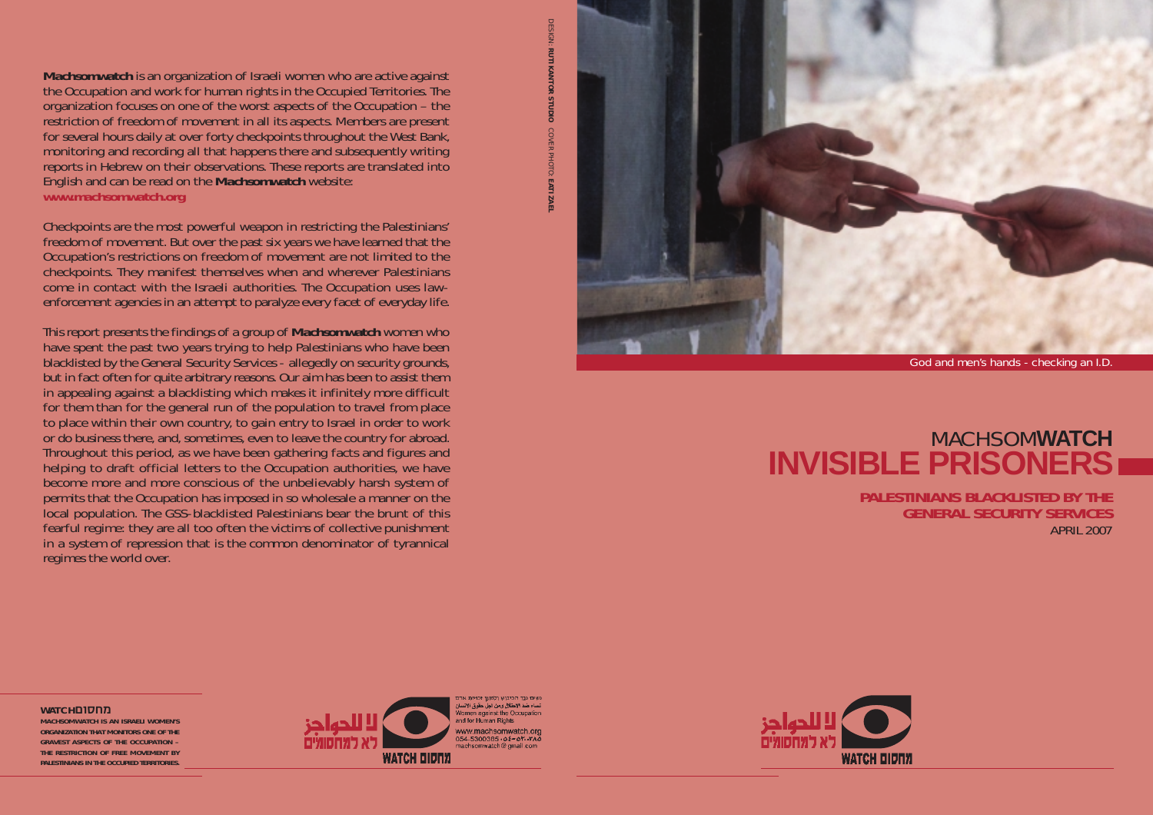**Machsomwatch** is an organization of Israeli women who are active against the Occupation and work for human rights in the Occupied Territories. The organization focuses on one of the worst aspects of the Occupation – the restriction of freedom of movement in all its aspects. Members are present for several hours daily at over forty checkpoints throughout the West Bank, monitoring and recording all that happens there and subsequently writing reports in Hebrew on their observations. These reports are translated into English and can be read on the **Machsomwatch** website: **www.machsomwatch.org**

Checkpoints are the most powerful weapon in restricting the Palestinians' freedom of movement. But over the past six years we have learned that the Occupation's restrictions on freedom of movement are not limited to the checkpoints. They manifest themselves when and wherever Palestinians come in contact with the Israeli authorities. The Occupation uses lawenforcement agencies in an attempt to paralyze every facet of everyday life.

This report presents the findings of a group of **Machsomwatch** women who have spent the past two years trying to help Palestinians who have been blacklisted by the General Security Services - allegedly on security grounds, but in fact often for quite arbitrary reasons. Our aim has been to assist them in appealing against a blacklisting which makes it infinitely more difficult for them than for the general run of the population to travel from place to place within their own country, to gain entry to Israel in order to work or do business there, and, sometimes, even to leave the country for abroad. Throughout this period, as we have been gathering facts and figures and helping to draft official letters to the Occupation authorities, we have become more and more conscious of the unbelievably harsh system of permits that the Occupation has imposed in so wholesale a manner on the local population. The GSS-blacklisted Palestinians bear the brunt of this fearful regime: they are all too often the victims of collective punishment in a system of repression that is the common denominator of tyrannical regimes the world over.



God and men's hands - checking an I.D.

# MACHSOM**WATCH INVISIBLE PRISONERS**

**PALESTINIANS BLACKLISTED BY THE GENERAL SECURITY SERVICES** APRIL 2007

**WATCHO1DND** 

**MACHSOMWATCH IS AN ISRAELI WOMEN'S ORGANIZATION THAT MONITORS ONE OF THE GRAVEST ASPECTS OF THE OCCUPATION – THE RESTRICTION OF FREE MOVEMENT BY PALESTINIANS IN THE OCCUPIED TERRITORIES.**



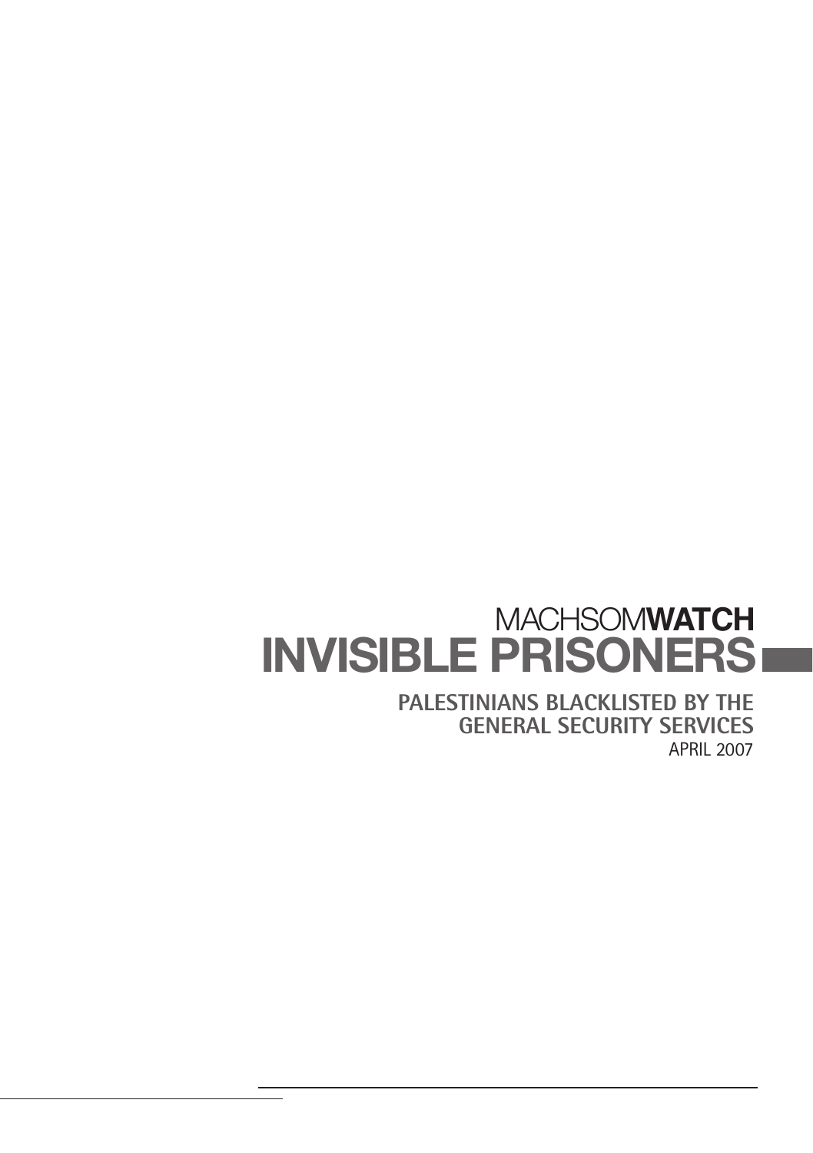# **INVISIBLE PRISONERS** MACHSOM**WATCH**

**PALESTINIANS BLACKLISTED BY THE GENERAL SECURITY SERVICES** APRIL 2007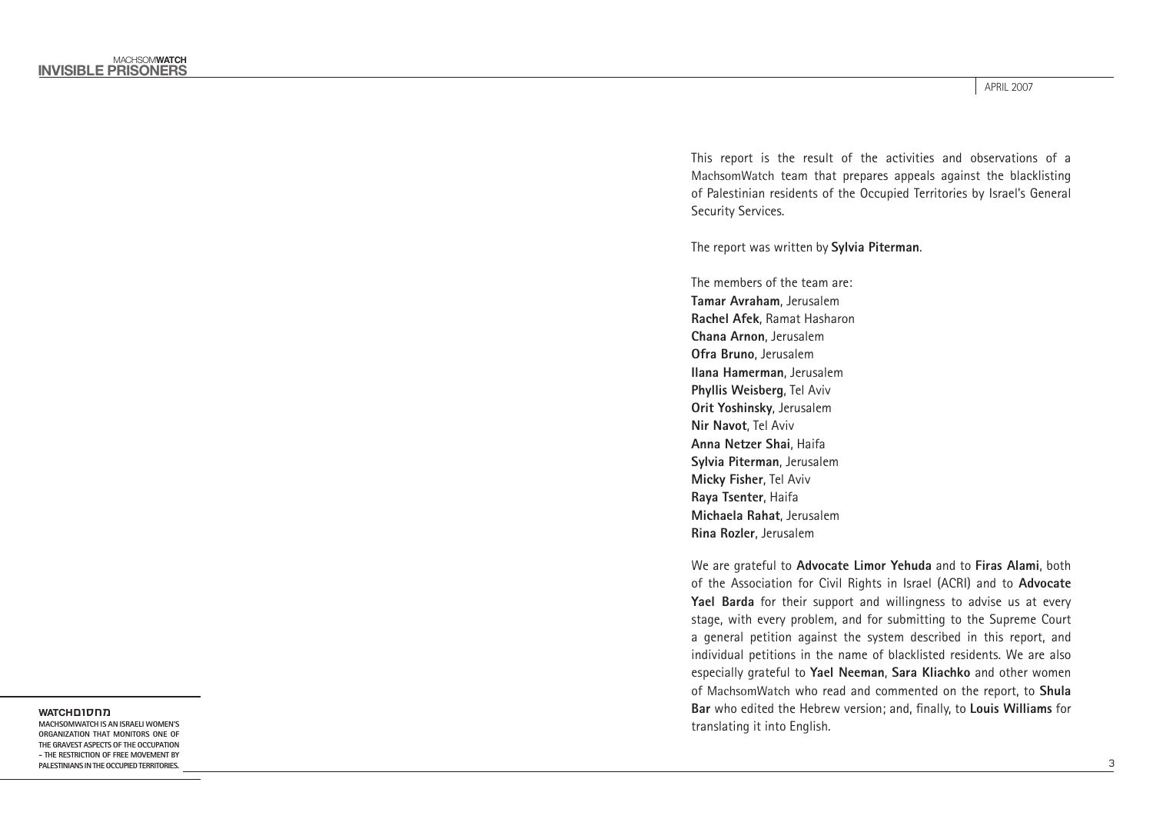#### APRIL 2007

This report is the result of the activities and observations of a MachsomWatch team that prepares appeals against the blacklisting of Palestinian residents of the Occupied Territories by Israel's General Security Services.

The report was written by **Sylvia Piterman** .

The members of the team are: **Tamar Avraham**, Jerusalem **Rachel Afek**, Ramat Hasharon **Chana Arnon**, Jerusalem **Ofra Bruno**, Jerusalem **Ilana Hamerman**, Jerusalem **Phyllis Weisberg**, Tel Aviv **Orit Yoshinsky**, Jerusalem **Nir Navot**, Tel Aviv **Anna Netzer Shai**, Haifa **Sylvia Piterman**, Jerusalem **Micky Fisher**, Tel Aviv **Raya Tsenter**, Haifa **Michaela Rahat**, Jerusalem **Rina Rozler**, Jerusalem

We are grateful to **Advocate Limor Yehuda** and to **Firas Alami**, both of the Association for Civil Rights in Israel (ACRI) and to **Advocate Yael Barda** for their support and willingness to advise us at every stage, with every problem, and for submitting to the Supreme Court a general petition against the system described in this report, and individual petitions in the name of blacklisted residents. We are also especially grateful to **Yael Neeman**, **Sara Kliachko** and other women of MachsomWatch who read and commented on the report, to **Shula Bar** who edited the Hebrew version; and, finally, to **Louis Williams** for translating it into English.

#### **WATCH**D1D<sub>D</sub>

*≤* **PALESTINIANS IN THE OCCUPIED TERRITORIES.MACHSOMWATCH IS AN ISRAELI WOMEN'S ORGANIZATION THAT MONITORS ONE OF THE GRAVEST ASPECTS OF THE OCCUPATION - THE RESTRICTION OF FREE MOVEMENT BY**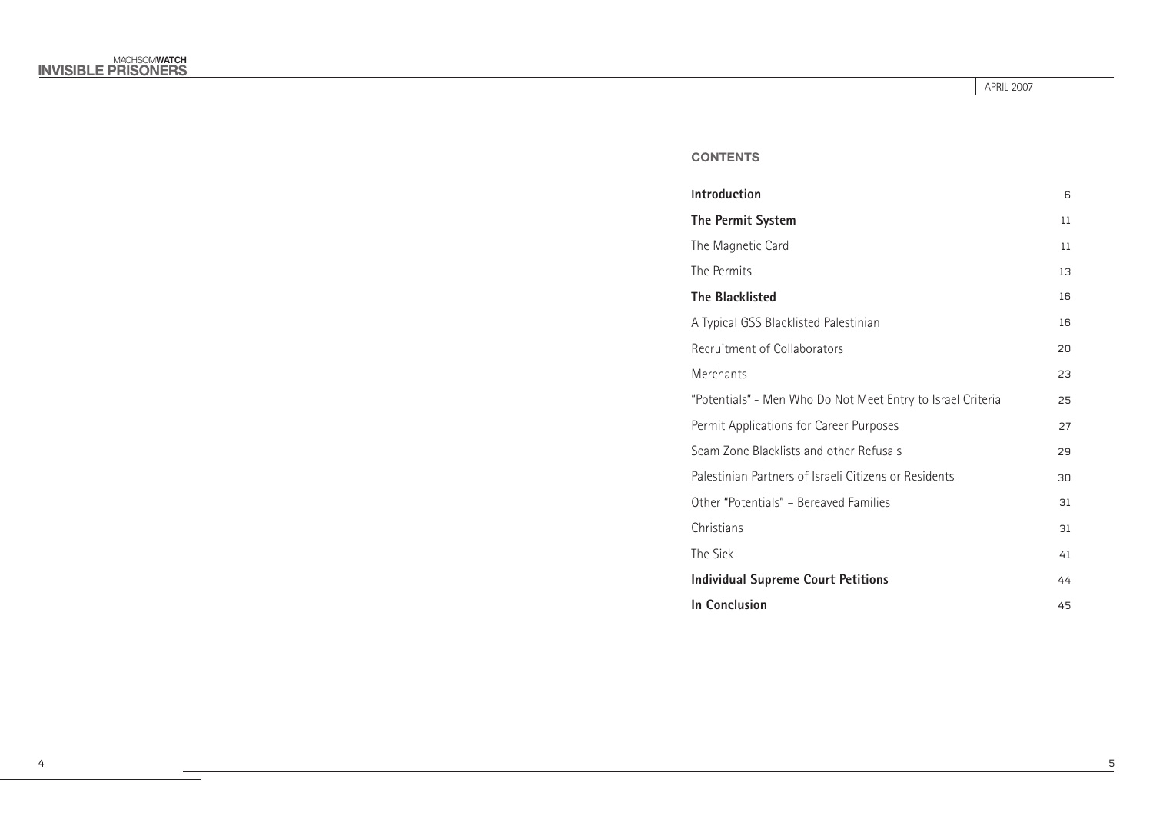## **CONTENTS**

| 6  |
|----|
| 11 |
| 11 |
| 13 |
| 16 |
| 16 |
| 20 |
| 23 |
| 25 |
| 27 |
| 29 |
| 30 |
| 31 |
| 31 |
| 41 |
| 44 |
| 45 |
|    |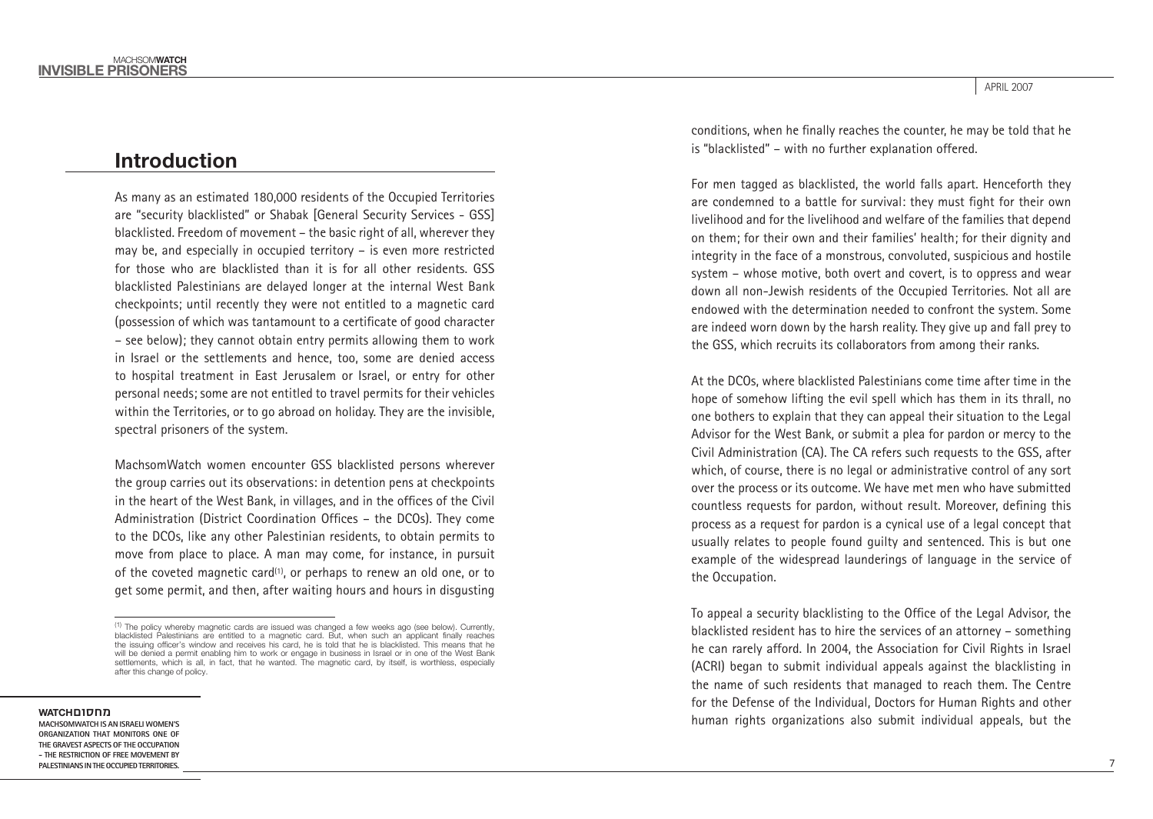## **Introduction**

As many as an estimated 180,000 residents of the Occupied Territories are "security blacklisted" or Shabak [General Security Services - GSS] blacklisted. Freedom of movement – the basic right of all, wherever they may be, and especially in occupied territory – is even more restricted for those who are blacklisted than it is for all other residents. GSS blacklisted Palestinians are delayed longer at the internal West Bank checkpoints; until recently they were not entitled to a magnetic card (possession of which was tantamount to a certificate of good character – see below); they cannot obtain entry permits allowing them to work in Israel or the settlements and hence, too, some are denied access to hospital treatment in East Jerusalem or Israel, or entry for other personal needs; some are not entitled to travel permits for their vehicles within the Territories, or to go abroad on holiday. They are the invisible, spectral prisoners of the system.

MachsomWatch women encounter GSS blacklisted persons wherever the group carries out its observations: in detention pens at checkpoints in the heart of the West Bank, in villages, and in the offices of the Civil Administration (District Coordination Offices – the DCOs). They come to the DCOs, like any other Palestinian residents, to obtain permits to move from place to place. A man may come, for instance, in pursuit of the coveted magnetic card(1), or perhaps to renew an old one, or to get some permit, and then, after waiting hours and hours in disgusting

#### **WATCHD1DND**

*∂* **PALESTINIANS IN THE OCCUPIED TERRITORIES. MACHSOMWATCH IS AN ISRAELI WOMEN'S ORGANIZATION THAT MONITORS ONE OF THE GRAVEST ASPECTS OF THE OCCUPATION - THE RESTRICTION OF FREE MOVEMENT BY** 

conditions, when he finally reaches the counter, he may be told that he is "blacklisted" – with no further explanation offered.

For men tagged as blacklisted, the world falls apart. Henceforth they are condemned to a battle for survival: they must fight for their own livelihood and for the livelihood and welfare of the families that depend on them; for their own and their families' health; for their dignity and integrity in the face of a monstrous, convoluted, suspicious and hostile system – whose motive, both overt and covert, is to oppress and wear down all non-Jewish residents of the Occupied Territories. Not all are endowed with the determination needed to confront the system. Some are indeed worn down by the harsh reality. They give up and fall prey to the GSS, which recruits its collaborators from among their ranks.

At the DCOs, where blacklisted Palestinians come time after time in the hope of somehow lifting the evil spell which has them in its thrall, no one bothers to explain that they can appeal their situation to the Legal Advisor for the West Bank, or submit a plea for pardon or mercy to the Civil Administration (CA). The CA refers such requests to the GSS, after which, of course, there is no legal or administrative control of any sort over the process or its outcome. We have met men who have submitted countless requests for pardon, without result. Moreover, defining this process as a request for pardon is a cynical use of a legal concept that usually relates to people found guilty and sentenced. This is but one example of the widespread launderings of language in the service of the Occupation.

To appeal a security blacklisting to the Office of the Legal Advisor, the blacklisted resident has to hire the services of an attorney – something he can rarely afford. In 2004, the Association for Civil Rights in Israel (ACRI) began to submit individual appeals against the blacklisting in the name of such residents that managed to reach them. The Centre for the Defense of the Individual, Doctors for Human Rights and other human rights organizations also submit individual appeals, but the

<sup>(1)</sup> The policy whereby magnetic cards are issued was changed a few weeks ago (see below). Currently, blacklisted Palestinians are entitled to a magnetic card. But, when such an applicant finally reaches the issuing officer's window and receives his card, he is told that he is blacklisted. This means that he will be denied a permit enabling him to work or engage in business in Israel or in one of the West Bank settlements, which is all, in fact, that he wanted. The magnetic card, by itself, is worthless, especially after this change of policy.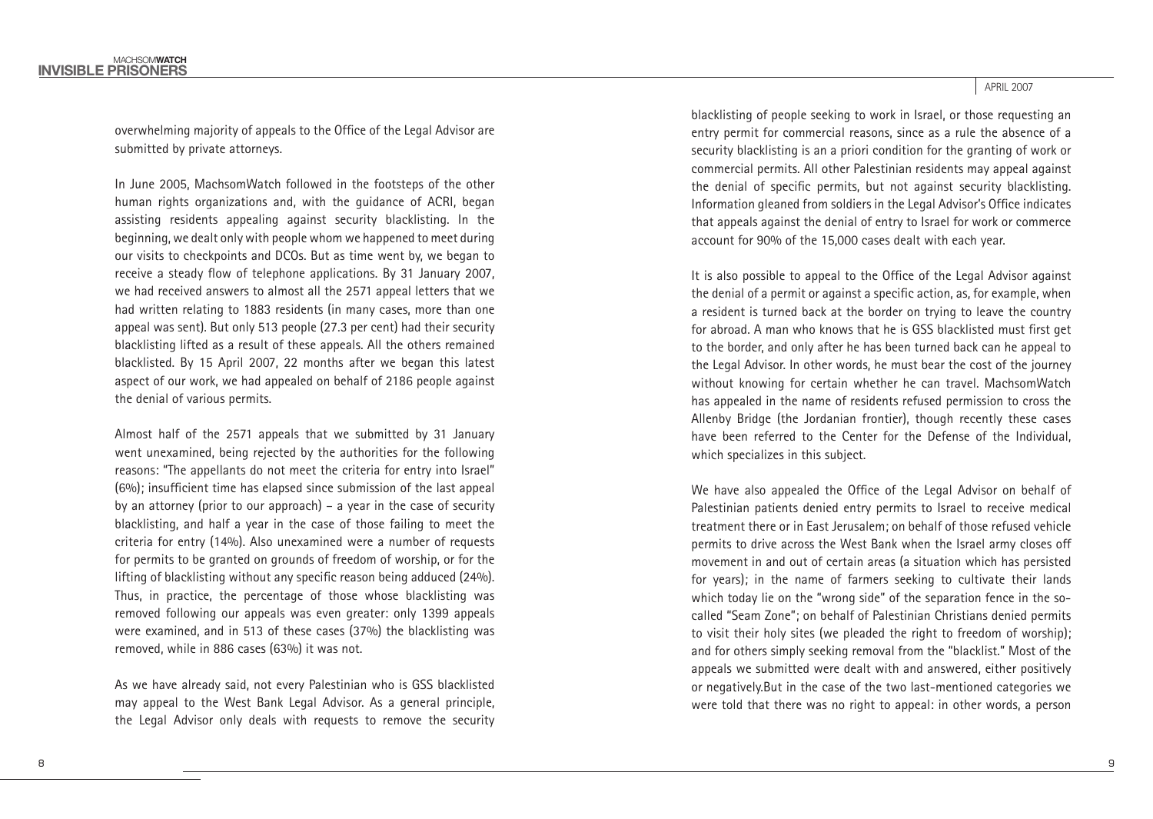overwhelming majority of appeals to the Office of the Legal Advisor are submitted by private attorneys.

In June 2005, MachsomWatch followed in the footsteps of the other human rights organizations and, with the guidance of ACRI, began assisting residents appealing against security blacklisting. In the beginning, we dealt only with people whom we happened to meet during our visits to checkpoints and DCOs. But as time went by, we began to receive a steady flow of telephone applications. By 31 January 2007, we had received answers to almost all the 2571 appeal letters that we had written relating to 1883 residents (in many cases, more than one appeal was sent). But only 513 people (27.3 per cent) had their security blacklisting lifted as a result of these appeals. All the others remained blacklisted. By 15 April 2007, 22 months after we began this latest aspect of our work, we had appealed on behalf of 2186 people against the denial of various permits.

Almost half of the 2571 appeals that we submitted by 31 January went unexamined, being rejected by the authorities for the following reasons: "The appellants do not meet the criteria for entry into Israel" (6%); insufficient time has elapsed since submission of the last appeal by an attorney (prior to our approach) – a year in the case of security blacklisting, and half a year in the case of those failing to meet the criteria for entry (14%). Also unexamined were a number of requests for permits to be granted on grounds of freedom of worship, or for the lifting of blacklisting without any specific reason being adduced (24%). Thus, in practice, the percentage of those whose blacklisting was removed following our appeals was even greater: only 1399 appeals were examined, and in 513 of these cases (37%) the blacklisting was removed, while in 886 cases (63%) it was not.

As we have already said, not every Palestinian who is GSS blacklisted may appeal to the West Bank Legal Advisor. As a general principle, the Legal Advisor only deals with requests to remove the security blacklisting of people seeking to work in Israel, or those requesting an entry permit for commercial reasons, since as a rule the absence of a security blacklisting is an a priori condition for the granting of work or commercial permits. All other Palestinian residents may appeal against the denial of specific permits, but not against security blacklisting. Information gleaned from soldiers in the Legal Advisor's Office indicates that appeals against the denial of entry to Israel for work or commerce account for 90% of the 15,000 cases dealt with each year.

It is also possible to appeal to the Office of the Legal Advisor against the denial of a permit or against a specific action, as, for example, when a resident is turned back at the border on trying to leave the country for abroad. A man who knows that he is GSS blacklisted must first get to the border, and only after he has been turned back can he appeal to the Legal Advisor. In other words, he must bear the cost of the journey without knowing for certain whether he can travel. MachsomWatch has appealed in the name of residents refused permission to cross the Allenby Bridge (the Jordanian frontier), though recently these cases have been referred to the Center for the Defense of the Individual, which specializes in this subject.

We have also appealed the Office of the Legal Advisor on behalf of Palestinian patients denied entry permits to Israel to receive medical treatment there or in East Jerusalem; on behalf of those refused vehicle permits to drive across the West Bank when the Israel army closes off movement in and out of certain areas (a situation which has persisted for years); in the name of farmers seeking to cultivate their lands which today lie on the "wrong side" of the separation fence in the socalled "Seam Zone"; on behalf of Palestinian Christians denied permits to visit their holy sites (we pleaded the right to freedom of worship); and for others simply seeking removal from the "blacklist." Most of the appeals we submitted were dealt with and answered, either positively or negatively.But in the case of the two last-mentioned categories we were told that there was no right to appeal: in other words, a person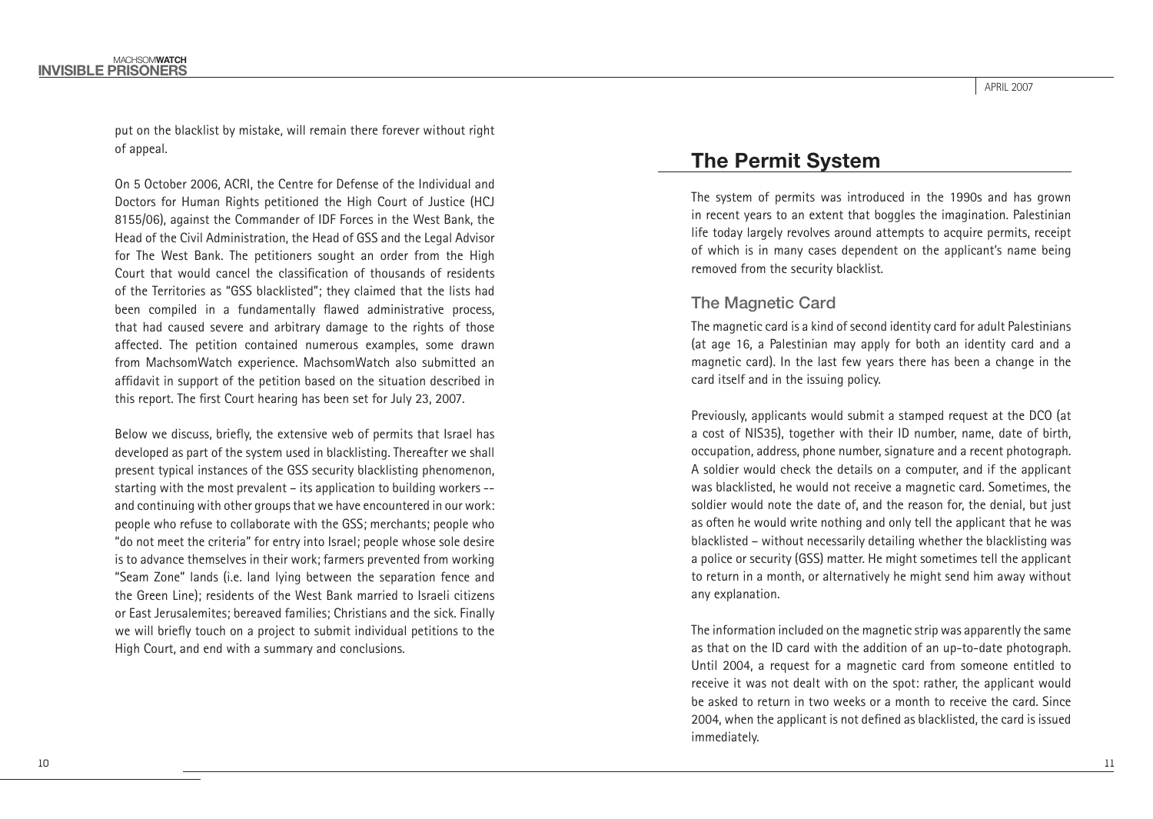put on the blacklist by mistake, will remain there forever without right of appeal.

On 5 October 2006, ACRI, the Centre for Defense of the Individual and Doctors for Human Rights petitioned the High Court of Justice (HCJ 8155/06), against the Commander of IDF Forces in the West Bank, the Head of the Civil Administration, the Head of GSS and the Legal Advisor for The West Bank. The petitioners sought an order from the High Court that would cancel the classification of thousands of residents of the Territories as "GSS blacklisted"; they claimed that the lists had been compiled in a fundamentally flawed administrative process, that had caused severe and arbitrary damage to the rights of those affected. The petition contained numerous examples, some drawn from MachsomWatch experience. MachsomWatch also submitted an affidavit in support of the petition based on the situation described in this report. The first Court hearing has been set for July 23, 2007.

Below we discuss, briefly, the extensive web of permits that Israel has developed as part of the system used in blacklisting. Thereafter we shall present typical instances of the GSS security blacklisting phenomenon, starting with the most prevalent – its application to building workers - and continuing with other groups that we have encountered in our work: people who refuse to collaborate with the GSS; merchants; people who "do not meet the criteria" for entry into Israel; people whose sole desire is to advance themselves in their work; farmers prevented from working "Seam Zone" lands (i.e. land lying between the separation fence and the Green Line); residents of the West Bank married to Israeli citizens or East Jerusalemites; bereaved families; Christians and the sick. Finally we will briefly touch on a project to submit individual petitions to the High Court, and end with a summary and conclusions.

## **The Permit System**

The system of permits was introduced in the 1990s and has grown in recent years to an extent that boggles the imagination. Palestinian life today largely revolves around attempts to acquire permits, receipt of which is in many cases dependent on the applicant's name being removed from the security blacklist.

## The Magnetic Card

The magnetic card is a kind of second identity card for adult Palestinians (at age 16, a Palestinian may apply for both an identity card and a magnetic card). In the last few years there has been a change in the card itself and in the issuing policy.

Previously, applicants would submit a stamped request at the DCO (at a cost of NIS35), together with their ID number, name, date of birth, occupation, address, phone number, signature and a recent photograph. A soldier would check the details on a computer, and if the applicant was blacklisted, he would not receive a magnetic card. Sometimes, the soldier would note the date of, and the reason for, the denial, but just as often he would write nothing and only tell the applicant that he was blacklisted – without necessarily detailing whether the blacklisting was a police or security (GSS) matter. He might sometimes tell the applicant to return in a month, or alternatively he might send him away without any explanation.

The information included on the magnetic strip was apparently the same as that on the ID card with the addition of an up-to-date photograph. Until 2004, a request for a magnetic card from someone entitled to receive it was not dealt with on the spot: rather, the applicant would be asked to return in two weeks or a month to receive the card. Since 2004, when the applicant is not defined as blacklisted, the card is issued immediately.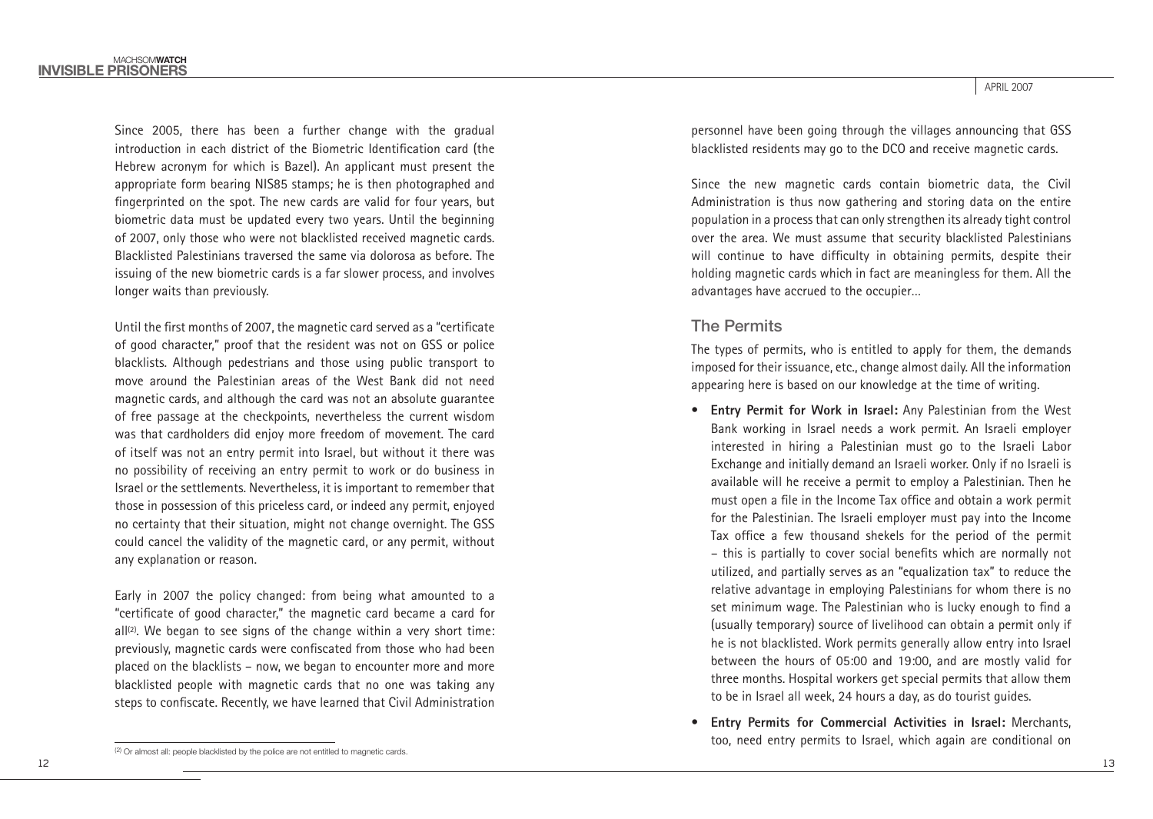Since 2005, there has been a further change with the gradual introduction in each district of the Biometric Identification card (the Hebrew acronym for which is Bazel). An applicant must present the appropriate form bearing NIS85 stamps; he is then photographed and fingerprinted on the spot. The new cards are valid for four years, but biometric data must be updated every two years. Until the beginning of 2007, only those who were not blacklisted received magnetic cards. Blacklisted Palestinians traversed the same via dolorosa as before. The issuing of the new biometric cards is a far slower process, and involves longer waits than previously.

Until the first months of 2007, the magnetic card served as a "certificate of good character," proof that the resident was not on GSS or police blacklists. Although pedestrians and those using public transport to move around the Palestinian areas of the West Bank did not need magnetic cards, and although the card was not an absolute guarantee of free passage at the checkpoints, nevertheless the current wisdom was that cardholders did enjoy more freedom of movement. The card of itself was not an entry permit into Israel, but without it there was no possibility of receiving an entry permit to work or do business in Israel or the settlements. Nevertheless, it is important to remember that those in possession of this priceless card, or indeed any permit, enjoyed no certainty that their situation, might not change overnight. The GSS could cancel the validity of the magnetic card, or any permit, without any explanation or reason.

Early in 2007 the policy changed: from being what amounted to a "certificate of good character," the magnetic card became a card for  $all<sup>[2]</sup>$ . We began to see signs of the change within a very short time: previously, magnetic cards were confiscated from those who had been placed on the blacklists – now, we began to encounter more and more blacklisted people with magnetic cards that no one was taking any steps to confiscate. Recently, we have learned that Civil Administration

#### APRIL 2007

personnel have been going through the villages announcing that GSS blacklisted residents may go to the DCO and receive magnetic cards.

Since the new magnetic cards contain biometric data, the Civil Administration is thus now gathering and storing data on the entire population in a process that can only strengthen its already tight control over the area. We must assume that security blacklisted Palestinians will continue to have difficulty in obtaining permits, despite their holding magnetic cards which in fact are meaningless for them. All the advantages have accrued to the occupier…

### The Permits

The types of permits, who is entitled to apply for them, the demands imposed for their issuance, etc., change almost daily. All the information appearing here is based on our knowledge at the time of writing.

- **Entry Permit for Work in Israel:** Any Palestinian from the West Bank working in Israel needs a work permit. An Israeli employer interested in hiring a Palestinian must go to the Israeli Labor Exchange and initially demand an Israeli worker. Only if no Israeli is available will he receive a permit to employ a Palestinian. Then he must open a file in the Income Tax office and obtain a work permit for the Palestinian. The Israeli employer must pay into the Income Tax office a few thousand shekels for the period of the permit – this is partially to cover social benefits which are normally not utilized, and partially serves as an "equalization tax" to reduce the relative advantage in employing Palestinians for whom there is no set minimum wage. The Palestinian who is lucky enough to find a (usually temporary) source of livelihood can obtain a permit only if he is not blacklisted. Work permits generally allow entry into Israel between the hours of 05:00 and 19:00, and are mostly valid for three months. Hospital workers get special permits that allow them to be in Israel all week, 24 hours a day, as do tourist guides.
- **Entry Permits for Commercial Activities in Israel:** Merchants, too, need entry permits to Israel, which again are conditional on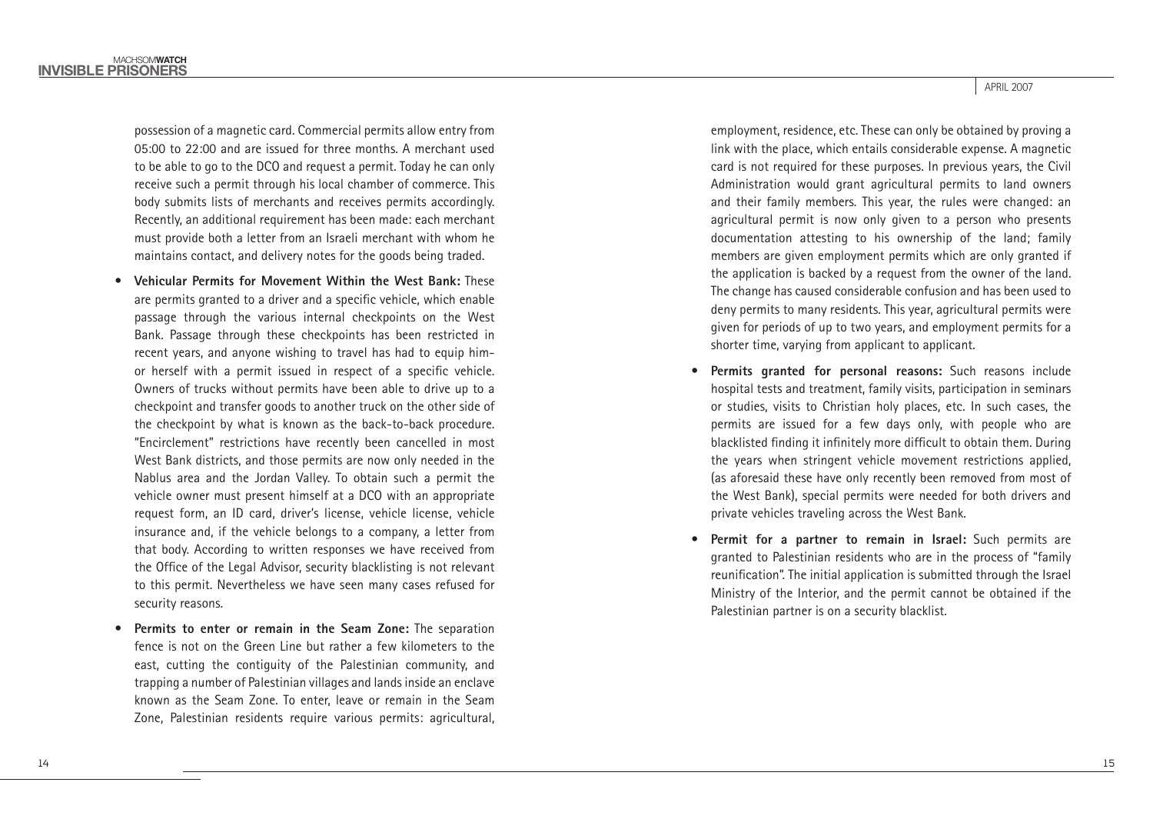possession of a magnetic card. Commercial permits allow entry from 05:00 to 22:00 and are issued for three months. A merchant used to be able to go to the DCO and request a permit. Today he can only receive such a permit through his local chamber of commerce. This body submits lists of merchants and receives permits accordingly. Recently, an additional requirement has been made: each merchant must provide both a letter from an Israeli merchant with whom he maintains contact, and delivery notes for the goods being traded.

- **Vehicular Permits for Movement Within the West Bank:** These are permits granted to a driver and a specific vehicle, which enable passage through the various internal checkpoints on the West Bank. Passage through these checkpoints has been restricted in recent years, and anyone wishing to travel has had to equip himor herself with a permit issued in respect of a specific vehicle. Owners of trucks without permits have been able to drive up to a checkpoint and transfer goods to another truck on the other side of the checkpoint by what is known as the back-to-back procedure. "Encirclement" restrictions have recently been cancelled in most West Bank districts, and those permits are now only needed in the Nablus area and the Jordan Valley. To obtain such a permit the vehicle owner must present himself at a DCO with an appropriate request form, an ID card, driver's license, vehicle license, vehicle insurance and, if the vehicle belongs to a company, a letter from that body. According to written responses we have received from the Office of the Legal Advisor, security blacklisting is not relevant to this permit. Nevertheless we have seen many cases refused for security reasons.
- **Permits to enter or remain in the Seam Zone:** The separation fence is not on the Green Line but rather a few kilometers to the east, cutting the contiguity of the Palestinian community, and trapping a number of Palestinian villages and lands inside an enclave known as the Seam Zone. To enter, leave or remain in the Seam Zone, Palestinian residents require various permits: agricultural,

employment, residence, etc. These can only be obtained by proving a link with the place, which entails considerable expense. A magnetic card is not required for these purposes. In previous years, the Civil Administration would grant agricultural permits to land owners and their family members. This year, the rules were changed: an agricultural permit is now only given to a person who presents documentation attesting to his ownership of the land; family members are given employment permits which are only granted if the application is backed by a request from the owner of the land. The change has caused considerable confusion and has been used to deny permits to many residents. This year, agricultural permits were given for periods of up to two years, and employment permits for a shorter time, varying from applicant to applicant.

- **Permits granted for personal reasons:** Such reasons include hospital tests and treatment, family visits, participation in seminars or studies, visits to Christian holy places, etc. In such cases, the permits are issued for a few days only, with people who are blacklisted finding it infinitely more difficult to obtain them. During the years when stringent vehicle movement restrictions applied, (as aforesaid these have only recently been removed from most of the West Bank), special permits were needed for both drivers and private vehicles traveling across the West Bank.
- **Permit for a partner to remain in Israel:** Such permits are granted to Palestinian residents who are in the process of "family reunification". The initial application is submitted through the Israel Ministry of the Interior, and the permit cannot be obtained if the Palestinian partner is on a security blacklist.

APRIL 2007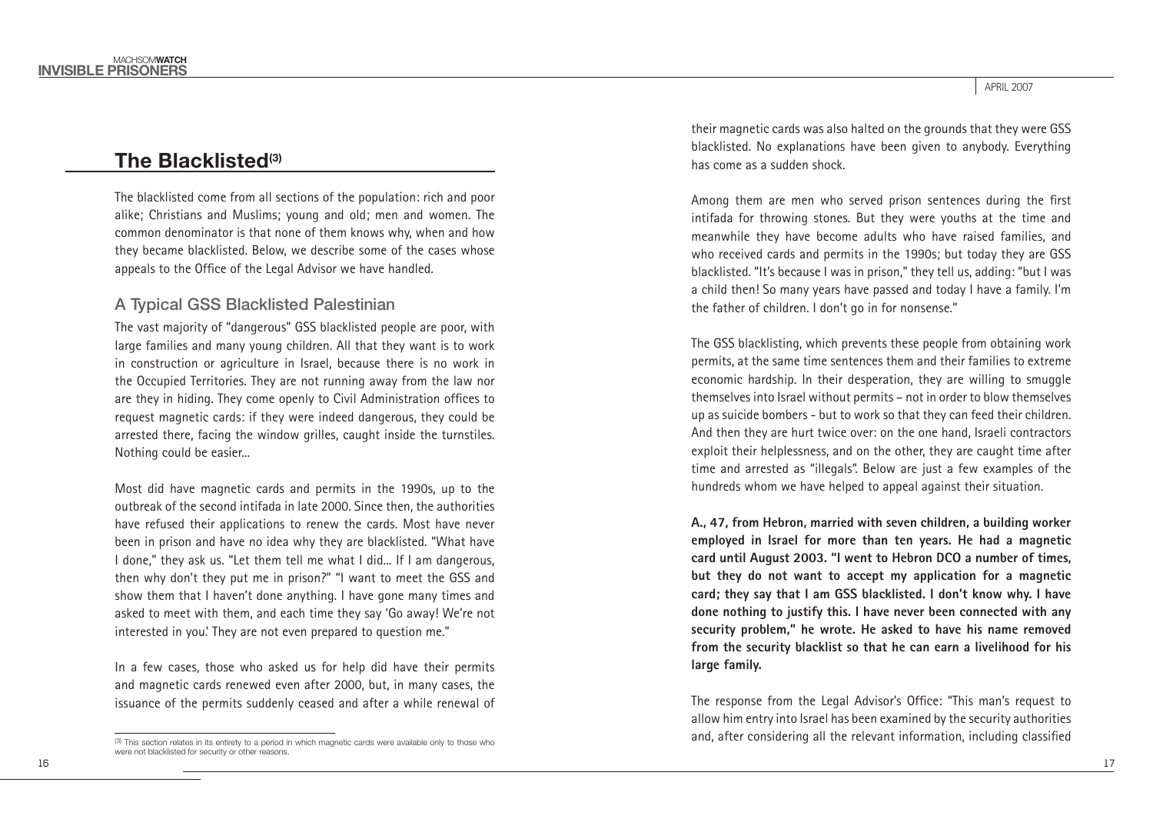## **The Blacklisted(3)**

The blacklisted come from all sections of the population: rich and poor alike; Christians and Muslims; young and old; men and women. The common denominator is that none of them knows why, when and how they became blacklisted. Below, we describe some of the cases whose appeals to the Office of the Legal Advisor we have handled.

## A Typical GSS Blacklisted Palestinian

The vast majority of "dangerous" GSS blacklisted people are poor, with large families and many young children. All that they want is to work in construction or agriculture in Israel, because there is no work in the Occupied Territories. They are not running away from the law nor are they in hiding. They come openly to Civil Administration offices to request magnetic cards: if they were indeed dangerous, they could be arrested there, facing the window grilles, caught inside the turnstiles. Nothing could be easier...

Most did have magnetic cards and permits in the 1990s, up to the outbreak of the second intifada in late 2000. Since then, the authorities have refused their applications to renew the cards. Most have never been in prison and have no idea why they are blacklisted. "What have I done," they ask us. "Let them tell me what I did... If I am dangerous, then why don't they put me in prison?" "I want to meet the GSS and show them that I haven't done anything. I have gone many times and asked to meet with them, and each time they say 'Go away! We're not interested in you.' They are not even prepared to question me."

In a few cases, those who asked us for help did have their permits and magnetic cards renewed even after 2000, but, in many cases, the issuance of the permits suddenly ceased and after a while renewal of

their magnetic cards was also halted on the grounds that they were GSS blacklisted. No explanations have been given to anybody. Everything has come as a sudden shock.

Among them are men who served prison sentences during the first intifada for throwing stones. But they were youths at the time and meanwhile they have become adults who have raised families, and who received cards and permits in the 1990s; but today they are GSS blacklisted. "It's because I was in prison," they tell us, adding: "but I was a child then! So many years have passed and today I have a family. I'm the father of children. I don't go in for nonsense."

The GSS blacklisting, which prevents these people from obtaining work permits, at the same time sentences them and their families to extreme economic hardship. In their desperation, they are willing to smuggle themselves into Israel without permits – not in order to blow themselves up as suicide bombers - but to work so that they can feed their children. And then they are hurt twice over: on the one hand, Israeli contractors exploit their helplessness, and on the other, they are caught time after time and arrested as "illegals". Below are just a few examples of the hundreds whom we have helped to appeal against their situation.

**A., 47, from Hebron, married with seven children, a building worker employed in Israel for more than ten years. He had a magnetic card until August 2003. "I went to Hebron DCO a number of times, but they do not want to accept my application for a magnetic card; they say that I am GSS blacklisted. I don't know why. I have done nothing to justify this. I have never been connected with any security problem," he wrote. He asked to have his name removed from the security blacklist so that he can earn a livelihood for his large family.**

The response from the Legal Advisor's Office: "This man's request to allow him entry into Israel has been examined by the security authorities (3) This section relates in its entirety to a period in which magnetic cards were available only to those who and, after considering all the relevant information, including classified

were not blacklisted for security or other reasons.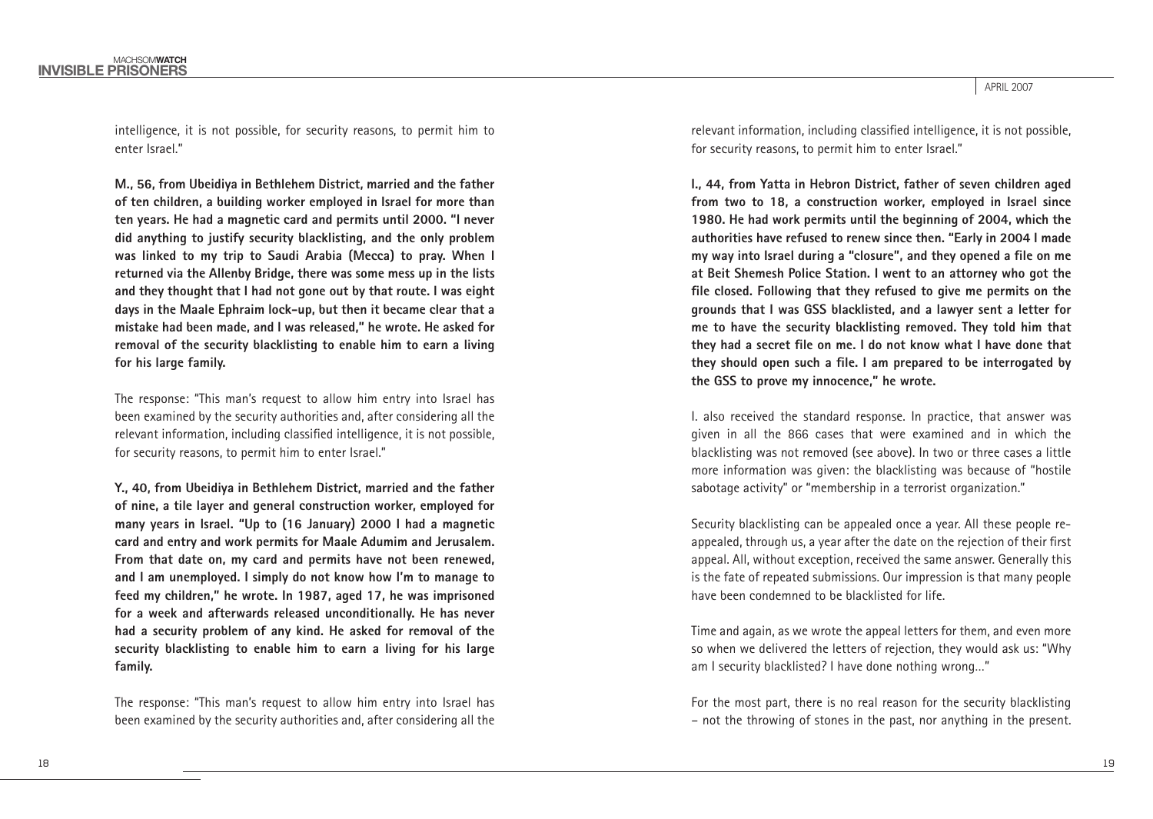intelligence, it is not possible, for security reasons, to permit him to enter Israel."

**M., 56, from Ubeidiya in Bethlehem District, married and the father of ten children, a building worker employed in Israel for more than ten years. He had a magnetic card and permits until 2000. "I never did anything to justify security blacklisting, and the only problem was linked to my trip to Saudi Arabia (Mecca) to pray. When I returned via the Allenby Bridge, there was some mess up in the lists and they thought that I had not gone out by that route. I was eight days in the Maale Ephraim lock-up, but then it became clear that a mistake had been made, and I was released," he wrote. He asked for removal of the security blacklisting to enable him to earn a living for his large family.**

The response: "This man's request to allow him entry into Israel has been examined by the security authorities and, after considering all the relevant information, including classified intelligence, it is not possible, for security reasons, to permit him to enter Israel."

**Y., 40, from Ubeidiya in Bethlehem District, married and the father of nine, a tile layer and general construction worker, employed for many years in Israel. "Up to (16 January) 2000 I had a magnetic card and entry and work permits for Maale Adumim and Jerusalem. From that date on, my card and permits have not been renewed, and I am unemployed. I simply do not know how I'm to manage to feed my children," he wrote. In 1987, aged 17, he was imprisoned for a week and afterwards released unconditionally. He has never had a security problem of any kind. He asked for removal of the security blacklisting to enable him to earn a living for his large family.** 

The response: "This man's request to allow him entry into Israel has been examined by the security authorities and, after considering all the

relevant information, including classified intelligence, it is not possible, for security reasons, to permit him to enter Israel."

**I., 44, from Yatta in Hebron District, father of seven children aged from two to 18, a construction worker, employed in Israel since 1980. He had work permits until the beginning of 2004, which the authorities have refused to renew since then. "Early in 2004 I made my way into Israel during a "closure", and they opened a file on me at Beit Shemesh Police Station. I went to an attorney who got the file closed. Following that they refused to give me permits on the grounds that I was GSS blacklisted, and a lawyer sent a letter for me to have the security blacklisting removed. They told him that they had a secret file on me. I do not know what I have done that they should open such a file. I am prepared to be interrogated by the GSS to prove my innocence," he wrote.**

I. also received the standard response. In practice, that answer was given in all the 866 cases that were examined and in which the blacklisting was not removed (see above). In two or three cases a little more information was given: the blacklisting was because of "hostile sabotage activity" or "membership in a terrorist organization."

Security blacklisting can be appealed once a year. All these people reappealed, through us, a year after the date on the rejection of their first appeal. All, without exception, received the same answer. Generally this is the fate of repeated submissions. Our impression is that many people have been condemned to be blacklisted for life.

Time and again, as we wrote the appeal letters for them, and even more so when we delivered the letters of rejection, they would ask us: "Why am I security blacklisted? I have done nothing wrong…"

For the most part, there is no real reason for the security blacklisting – not the throwing of stones in the past, nor anything in the present.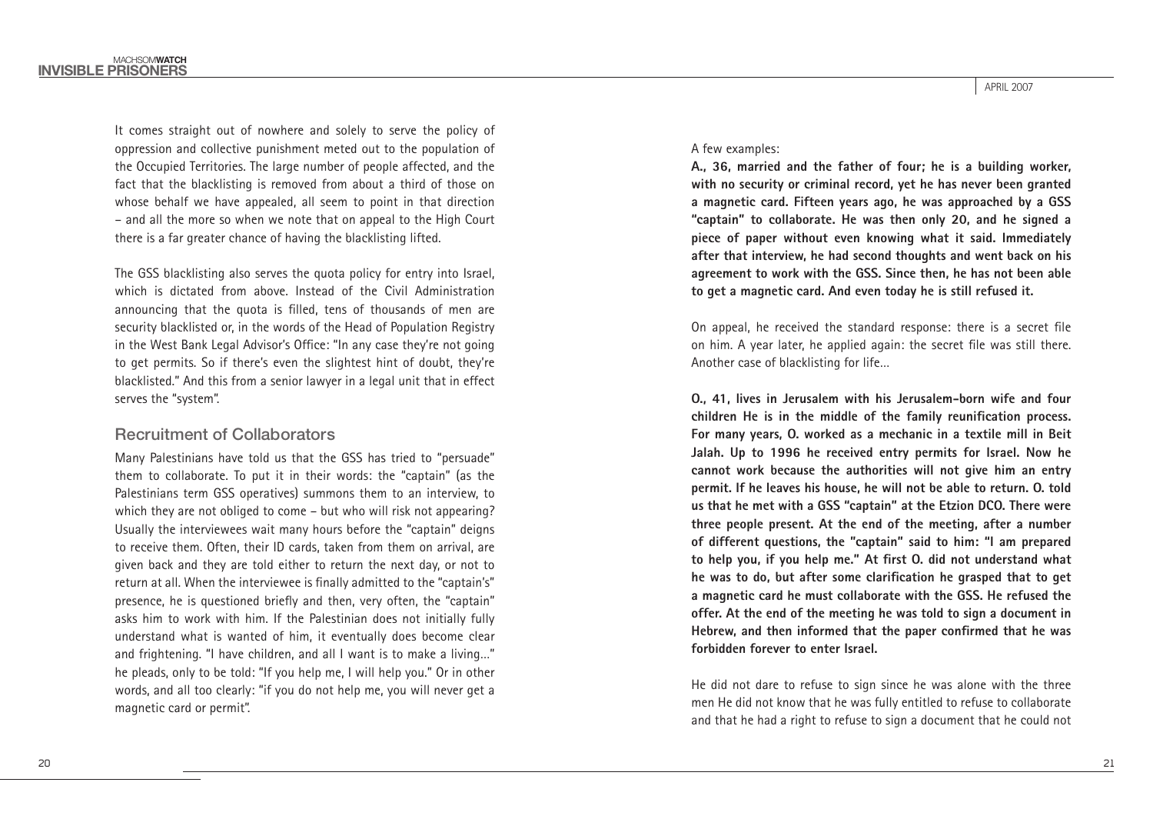It comes straight out of nowhere and solely to serve the policy of oppression and collective punishment meted out to the population of the Occupied Territories. The large number of people affected, and the fact that the blacklisting is removed from about a third of those on whose behalf we have appealed, all seem to point in that direction – and all the more so when we note that on appeal to the High Court there is a far greater chance of having the blacklisting lifted.

The GSS blacklisting also serves the quota policy for entry into Israel, which is dictated from above. Instead of the Civil Administration announcing that the quota is filled, tens of thousands of men are security blacklisted or, in the words of the Head of Population Registry in the West Bank Legal Advisor's Office: "In any case they're not going to get permits. So if there's even the slightest hint of doubt, they're blacklisted." And this from a senior lawyer in a legal unit that in effect serves the "system".

## Recruitment of Collaborators

Many Palestinians have told us that the GSS has tried to "persuade" them to collaborate. To put it in their words: the "captain" (as the Palestinians term GSS operatives) summons them to an interview, to which they are not obliged to come – but who will risk not appearing? Usually the interviewees wait many hours before the "captain" deigns to receive them. Often, their ID cards, taken from them on arrival, are given back and they are told either to return the next day, or not to return at all. When the interviewee is finally admitted to the "captain's" presence, he is questioned briefly and then, very often, the "captain" asks him to work with him. If the Palestinian does not initially fully understand what is wanted of him, it eventually does become clear and frightening. "I have children, and all I want is to make a living…" he pleads, only to be told: "If you help me, I will help you." Or in other words, and all too clearly: "if you do not help me, you will never get a magnetic card or permit".

#### A few examples:

**A., 36, married and the father of four; he is a building worker, with no security or criminal record, yet he has never been granted a magnetic card. Fifteen years ago, he was approached by a GSS "captain" to collaborate. He was then only 20, and he signed a piece of paper without even knowing what it said. Immediately after that interview, he had second thoughts and went back on his agreement to work with the GSS. Since then, he has not been able to get a magnetic card. And even today he is still refused it.**

On appeal, he received the standard response: there is a secret file on him. A year later, he applied again: the secret file was still there. Another case of blacklisting for life…

**O., 41, lives in Jerusalem with his Jerusalem-born wife and four children He is in the middle of the family reunification process. For many years, O. worked as a mechanic in a textile mill in Beit Jalah. Up to 1996 he received entry permits for Israel. Now he cannot work because the authorities will not give him an entry permit. If he leaves his house, he will not be able to return. O. told us that he met with a GSS "captain" at the Etzion DCO. There were three people present. At the end of the meeting, after a number of different questions, the "captain" said to him: "I am prepared to help you, if you help me." At first O. did not understand what he was to do, but after some clarification he grasped that to get a magnetic card he must collaborate with the GSS. He refused the offer. At the end of the meeting he was told to sign a document in Hebrew, and then informed that the paper confirmed that he was forbidden forever to enter Israel.**

He did not dare to refuse to sign since he was alone with the three men He did not know that he was fully entitled to refuse to collaborate and that he had a right to refuse to sign a document that he could not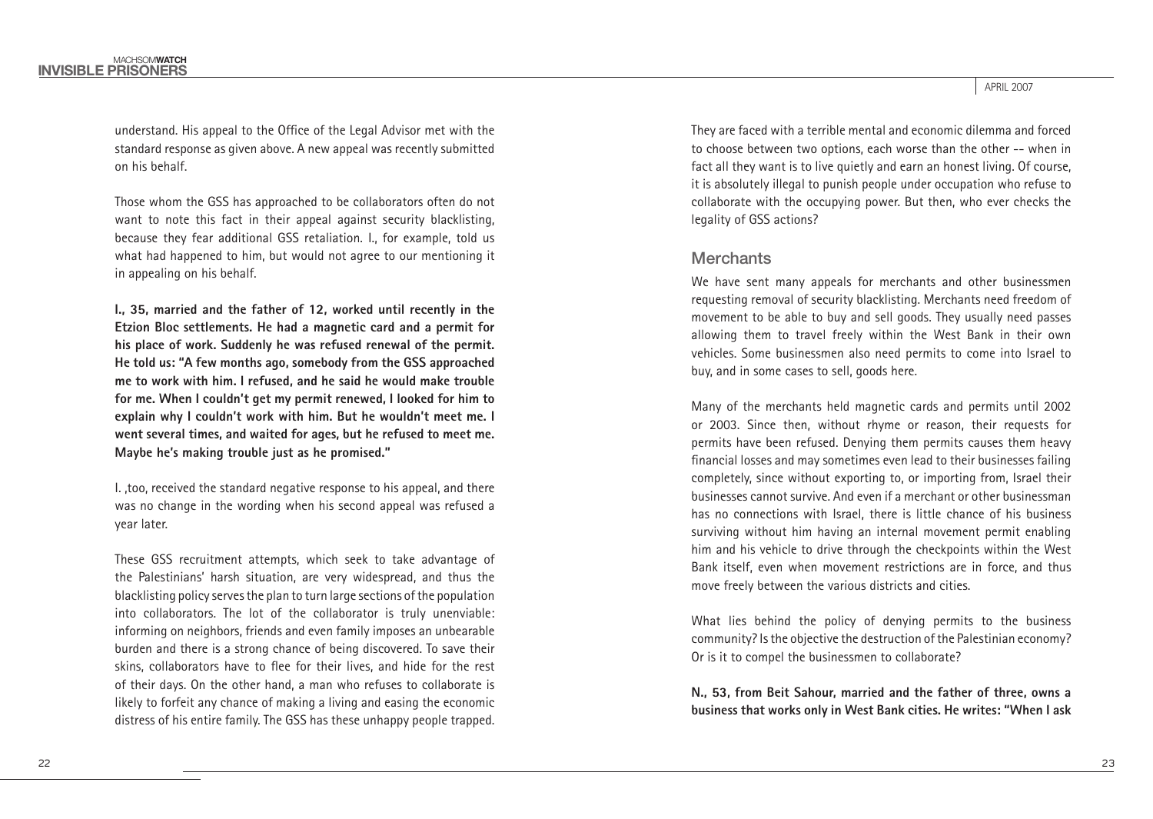understand. His appeal to the Office of the Legal Advisor met with the standard response as given above. A new appeal was recently submitted on his behalf.

Those whom the GSS has approached to be collaborators often do not want to note this fact in their appeal against security blacklisting, because they fear additional GSS retaliation. I., for example, told us what had happened to him, but would not agree to our mentioning it in appealing on his behalf.

**I., 35, married and the father of 12, worked until recently in the Etzion Bloc settlements. He had a magnetic card and a permit for his place of work. Suddenly he was refused renewal of the permit. He told us: "A few months ago, somebody from the GSS approached me to work with him. I refused, and he said he would make trouble for me. When I couldn't get my permit renewed, I looked for him to explain why I couldn't work with him. But he wouldn't meet me. I went several times, and waited for ages, but he refused to meet me. Maybe he's making trouble just as he promised."**

I. ,too, received the standard negative response to his appeal, and there was no change in the wording when his second appeal was refused a year later.

These GSS recruitment attempts, which seek to take advantage of the Palestinians' harsh situation, are very widespread, and thus the blacklisting policy serves the plan to turn large sections of the population into collaborators. The lot of the collaborator is truly unenviable: informing on neighbors, friends and even family imposes an unbearable burden and there is a strong chance of being discovered. To save their skins, collaborators have to flee for their lives, and hide for the rest of their days. On the other hand, a man who refuses to collaborate is likely to forfeit any chance of making a living and easing the economic distress of his entire family. The GSS has these unhappy people trapped.

They are faced with a terrible mental and economic dilemma and forced to choose between two options, each worse than the other -- when in fact all they want is to live quietly and earn an honest living. Of course, it is absolutely illegal to punish people under occupation who refuse to collaborate with the occupying power. But then, who ever checks the legality of GSS actions?

### **Merchants**

We have sent many appeals for merchants and other businessmen requesting removal of security blacklisting. Merchants need freedom of movement to be able to buy and sell goods. They usually need passes allowing them to travel freely within the West Bank in their own vehicles. Some businessmen also need permits to come into Israel to buy, and in some cases to sell, goods here.

Many of the merchants held magnetic cards and permits until 2002 or 2003. Since then, without rhyme or reason, their requests for permits have been refused. Denying them permits causes them heavy financial losses and may sometimes even lead to their businesses failing completely, since without exporting to, or importing from, Israel their businesses cannot survive. And even if a merchant or other businessman has no connections with Israel, there is little chance of his business surviving without him having an internal movement permit enabling him and his vehicle to drive through the checkpoints within the West Bank itself, even when movement restrictions are in force, and thus move freely between the various districts and cities.

What lies behind the policy of denying permits to the business community? Is the objective the destruction of the Palestinian economy? Or is it to compel the businessmen to collaborate?

**N., 53, from Beit Sahour, married and the father of three, owns a business that works only in West Bank cities. He writes: "When I ask**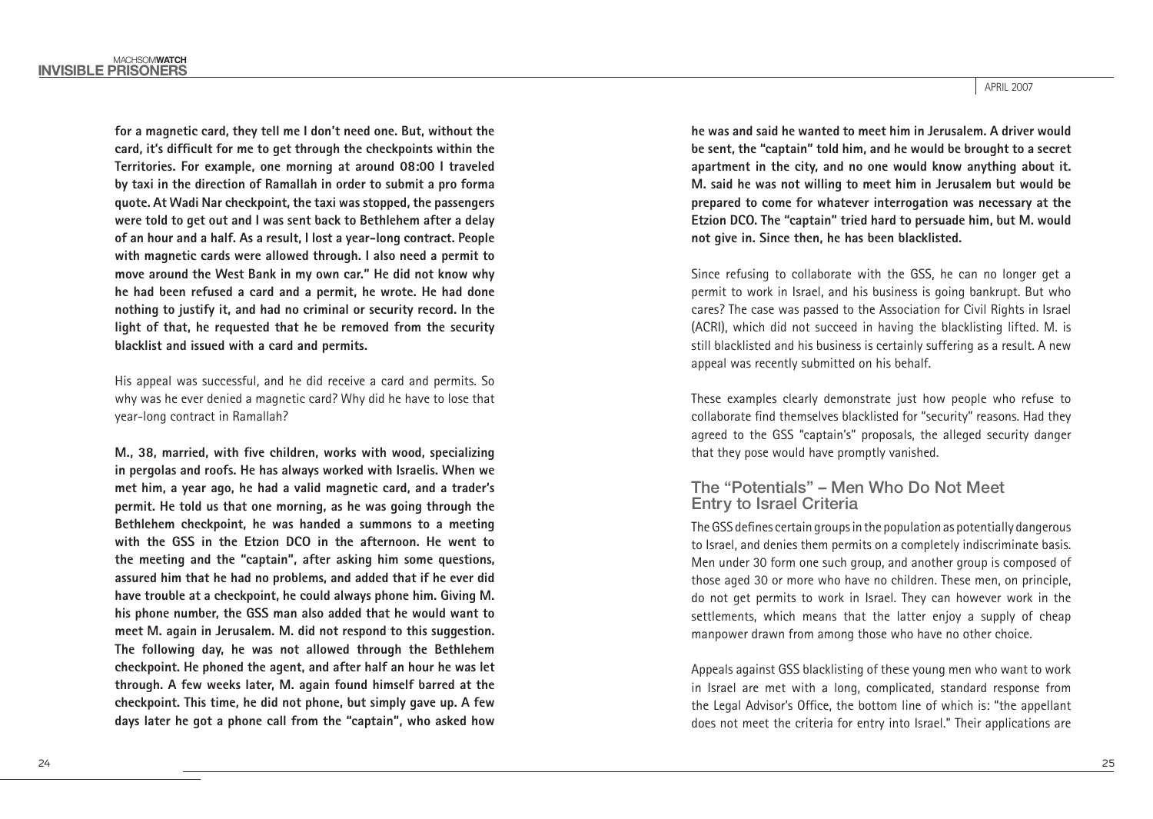**for a magnetic card, they tell me I don't need one. But, without the card, it's difficult for me to get through the checkpoints within the Territories. For example, one morning at around 08:00 I traveled by taxi in the direction of Ramallah in order to submit a pro forma quote. At Wadi Nar checkpoint, the taxi was stopped, the passengers were told to get out and I was sent back to Bethlehem after a delay of an hour and a half. As a result, I lost a year-long contract. People with magnetic cards were allowed through. I also need a permit to move around the West Bank in my own car." He did not know why he had been refused a card and a permit, he wrote. He had done nothing to justify it, and had no criminal or security record. In the light of that, he requested that he be removed from the security blacklist and issued with a card and permits.**

His appeal was successful, and he did receive a card and permits. So why was he ever denied a magnetic card? Why did he have to lose that year-long contract in Ramallah?

**M., 38, married, with five children, works with wood, specializing in pergolas and roofs. He has always worked with Israelis. When we met him, a year ago, he had a valid magnetic card, and a trader's permit. He told us that one morning, as he was going through the Bethlehem checkpoint, he was handed a summons to a meeting with the GSS in the Etzion DCO in the afternoon. He went to the meeting and the "captain", after asking him some questions, assured him that he had no problems, and added that if he ever did have trouble at a checkpoint, he could always phone him. Giving M. his phone number, the GSS man also added that he would want to meet M. again in Jerusalem. M. did not respond to this suggestion. The following day, he was not allowed through the Bethlehem checkpoint. He phoned the agent, and after half an hour he was let through. A few weeks later, M. again found himself barred at the checkpoint. This time, he did not phone, but simply gave up. A few days later he got a phone call from the "captain", who asked how** 

**he was and said he wanted to meet him in Jerusalem. A driver would be sent, the "captain" told him, and he would be brought to a secret apartment in the city, and no one would know anything about it. M. said he was not willing to meet him in Jerusalem but would be prepared to come for whatever interrogation was necessary at the Etzion DCO. The "captain" tried hard to persuade him, but M. would not give in. Since then, he has been blacklisted.**

Since refusing to collaborate with the GSS, he can no longer get a permit to work in Israel, and his business is going bankrupt. But who cares? The case was passed to the Association for Civil Rights in Israel (ACRI), which did not succeed in having the blacklisting lifted. M. is still blacklisted and his business is certainly suffering as a result. A new appeal was recently submitted on his behalf.

These examples clearly demonstrate just how people who refuse to collaborate find themselves blacklisted for "security" reasons. Had they agreed to the GSS "captain's" proposals, the alleged security danger that they pose would have promptly vanished.

## The "Potentials" – Men Who Do Not Meet Entry to Israel Criteria

The GSS defines certain groups in the population as potentially dangerous to Israel, and denies them permits on a completely indiscriminate basis. Men under 30 form one such group, and another group is composed of those aged 30 or more who have no children. These men, on principle, do not get permits to work in Israel. They can however work in the settlements, which means that the latter enjoy a supply of cheap manpower drawn from among those who have no other choice.

Appeals against GSS blacklisting of these young men who want to work in Israel are met with a long, complicated, standard response from the Legal Advisor's Office, the bottom line of which is: "the appellant does not meet the criteria for entry into Israel." Their applications are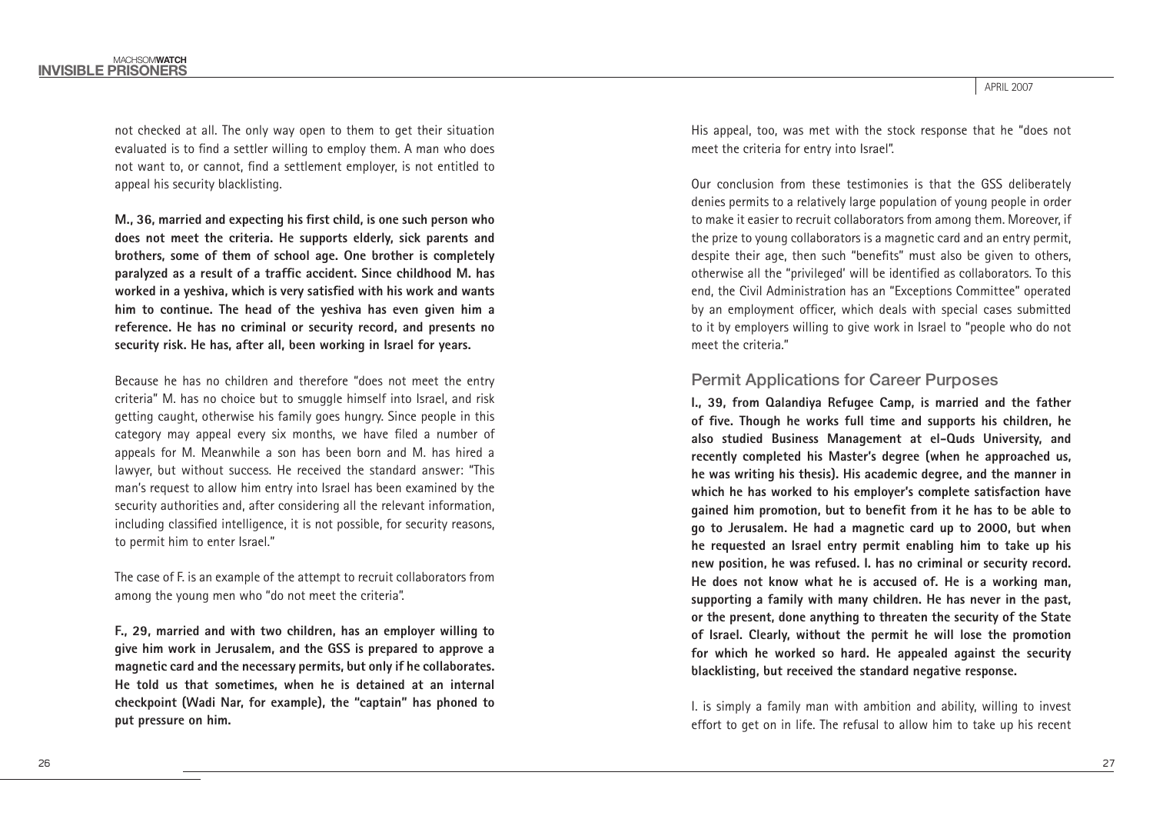not checked at all. The only way open to them to get their situation evaluated is to find a settler willing to employ them. A man who does not want to, or cannot, find a settlement employer, is not entitled to appeal his security blacklisting.

**M., 36, married and expecting his first child, is one such person who does not meet the criteria. He supports elderly, sick parents and brothers, some of them of school age. One brother is completely paralyzed as a result of a traffic accident. Since childhood M. has worked in a yeshiva, which is very satisfied with his work and wants him to continue. The head of the yeshiva has even given him a reference. He has no criminal or security record, and presents no security risk. He has, after all, been working in Israel for years.**

Because he has no children and therefore "does not meet the entry criteria" M. has no choice but to smuggle himself into Israel, and risk getting caught, otherwise his family goes hungry. Since people in this category may appeal every six months, we have filed a number of appeals for M. Meanwhile a son has been born and M. has hired a lawyer, but without success. He received the standard answer: "This man's request to allow him entry into Israel has been examined by the security authorities and, after considering all the relevant information, including classified intelligence, it is not possible, for security reasons, to permit him to enter Israel."

The case of F. is an example of the attempt to recruit collaborators from among the young men who "do not meet the criteria".

**F., 29, married and with two children, has an employer willing to give him work in Jerusalem, and the GSS is prepared to approve a magnetic card and the necessary permits, but only if he collaborates. He told us that sometimes, when he is detained at an internal checkpoint (Wadi Nar, for example), the "captain" has phoned to put pressure on him.**

His appeal, too, was met with the stock response that he "does not meet the criteria for entry into Israel".

Our conclusion from these testimonies is that the GSS deliberately denies permits to a relatively large population of young people in order to make it easier to recruit collaborators from among them. Moreover, if the prize to young collaborators is a magnetic card and an entry permit, despite their age, then such "benefits" must also be given to others, otherwise all the "privileged' will be identified as collaborators. To this end, the Civil Administration has an "Exceptions Committee" operated by an employment officer, which deals with special cases submitted to it by employers willing to give work in Israel to "people who do not meet the criteria."

## Permit Applications for Career Purposes

**I., 39, from Qalandiya Refugee Camp, is married and the father of five. Though he works full time and supports his children, he also studied Business Management at el-Quds University, and recently completed his Master's degree (when he approached us, he was writing his thesis). His academic degree, and the manner in which he has worked to his employer's complete satisfaction have gained him promotion, but to benefit from it he has to be able to go to Jerusalem. He had a magnetic card up to 2000, but when he requested an Israel entry permit enabling him to take up his new position, he was refused. I. has no criminal or security record. He does not know what he is accused of. He is a working man, supporting a family with many children. He has never in the past, or the present, done anything to threaten the security of the State of Israel. Clearly, without the permit he will lose the promotion for which he worked so hard. He appealed against the security blacklisting, but received the standard negative response.**

I. is simply a family man with ambition and ability, willing to invest effort to get on in life. The refusal to allow him to take up his recent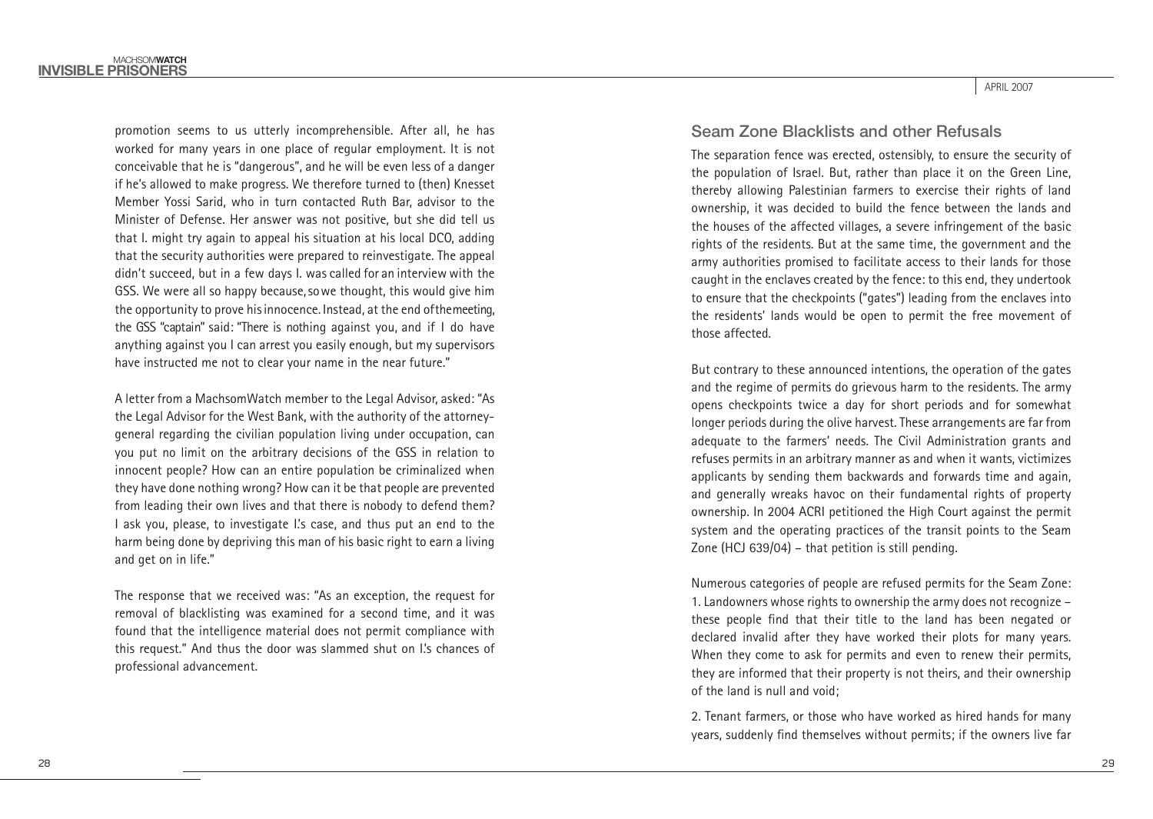promotion seems to us utterly incomprehensible. After all, he has worked for many years in one place of regular employment. It is not conceivable that he is "dangerous", and he will be even less of a danger if he's allowed to make progress. We therefore turned to (then) Knesset Member Yossi Sarid, who in turn contacted Ruth Bar, advisor to the Minister of Defense. Her answer was not positive, but she did tell us that I. might try again to appeal his situation at his local DCO, adding that the security authorities were prepared to reinvestigate. The appeal didn't succeed, but in a few days I. was called for an interview with the GSS. We were all so happy because, so we thought, this would give him the opportunity to prove his innocence. Instead, at the end of the meeting, the GSS "captain" said: "There is nothing against you, and if I do have anything against you I can arrest you easily enough, but my supervisors have instructed me not to clear your name in the near future."

A letter from a MachsomWatch member to the Legal Advisor, asked: "As the Legal Advisor for the West Bank, with the authority of the attorneygeneral regarding the civilian population living under occupation, can you put no limit on the arbitrary decisions of the GSS in relation to innocent people? How can an entire population be criminalized when they have done nothing wrong? How can it be that people are prevented from leading their own lives and that there is nobody to defend them? I ask you, please, to investigate I.'s case, and thus put an end to the harm being done by depriving this man of his basic right to earn a living and get on in life."

The response that we received was: "As an exception, the request for removal of blacklisting was examined for a second time, and it was found that the intelligence material does not permit compliance with this request." And thus the door was slammed shut on I.'s chances of professional advancement.

## Seam Zone Blacklists and other Refusals

The separation fence was erected, ostensibly, to ensure the security of the population of Israel. But, rather than place it on the Green Line, thereby allowing Palestinian farmers to exercise their rights of land ownership, it was decided to build the fence between the lands and the houses of the affected villages, a severe infringement of the basic rights of the residents. But at the same time, the government and the army authorities promised to facilitate access to their lands for those caught in the enclaves created by the fence: to this end, they undertook to ensure that the checkpoints ("gates") leading from the enclaves into the residents' lands would be open to permit the free movement of those affected.

But contrary to these announced intentions, the operation of the gates and the regime of permits do grievous harm to the residents. The army opens checkpoints twice a day for short periods and for somewhat longer periods during the olive harvest. These arrangements are far from adequate to the farmers' needs. The Civil Administration grants and refuses permits in an arbitrary manner as and when it wants, victimizes applicants by sending them backwards and forwards time and again, and generally wreaks havoc on their fundamental rights of property ownership. In 2004 ACRI petitioned the High Court against the permit system and the operating practices of the transit points to the Seam Zone (HCJ 639/04) – that petition is still pending.

Numerous categories of people are refused permits for the Seam Zone: 1. Landowners whose rights to ownership the army does not recognize – these people find that their title to the land has been negated or declared invalid after they have worked their plots for many years. When they come to ask for permits and even to renew their permits, they are informed that their property is not theirs, and their ownership of the land is null and void;

2. Tenant farmers, or those who have worked as hired hands for many years, suddenly find themselves without permits; if the owners live far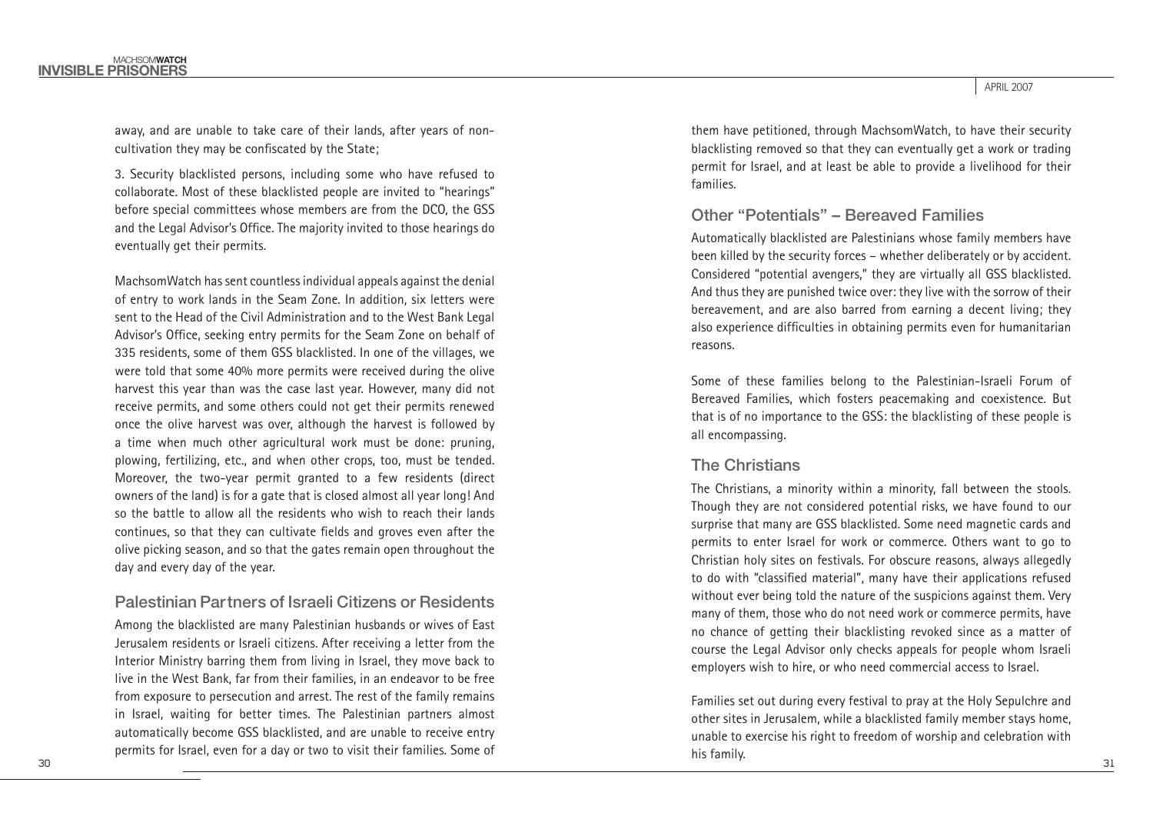away, and are unable to take care of their lands, after years of noncultivation they may be confiscated by the State;

3. Security blacklisted persons, including some who have refused to collaborate. Most of these blacklisted people are invited to "hearings" before special committees whose members are from the DCO, the GSS and the Legal Advisor's Office. The majority invited to those hearings do eventually get their permits.

MachsomWatch has sent countless individual appeals against the denial of entry to work lands in the Seam Zone. In addition, six letters were sent to the Head of the Civil Administration and to the West Bank Legal Advisor's Office, seeking entry permits for the Seam Zone on behalf of 335 residents, some of them GSS blacklisted. In one of the villages, we were told that some 40% more permits were received during the olive harvest this year than was the case last year. However, many did not receive permits, and some others could not get their permits renewed once the olive harvest was over, although the harvest is followed by a time when much other agricultural work must be done: pruning, plowing, fertilizing, etc., and when other crops, too, must be tended. Moreover, the two-year permit granted to a few residents (direct owners of the land) is for a gate that is closed almost all year long! And so the battle to allow all the residents who wish to reach their lands continues, so that they can cultivate fields and groves even after the olive picking season, and so that the gates remain open throughout the day and every day of the year.

Palestinian Partners of Israeli Citizens or Residents Among the blacklisted are many Palestinian husbands or wives of East Jerusalem residents or Israeli citizens. After receiving a letter from the Interior Ministry barring them from living in Israel, they move back to live in the West Bank, far from their families, in an endeavor to be free from exposure to persecution and arrest. The rest of the family remains in Israel, waiting for better times. The Palestinian partners almost automatically become GSS blacklisted, and are unable to receive entry permits for Israel, even for a day or two to visit their families. Some of

them have petitioned, through MachsomWatch, to have their security blacklisting removed so that they can eventually get a work or trading permit for Israel, and at least be able to provide a livelihood for their families.

## Other "Potentials" – Bereaved Families

Automatically blacklisted are Palestinians whose family members have been killed by the security forces – whether deliberately or by accident. Considered "potential avengers," they are virtually all GSS blacklisted. And thus they are punished twice over: they live with the sorrow of their bereavement, and are also barred from earning a decent living; they also experience difficulties in obtaining permits even for humanitarian reasons.

Some of these families belong to the Palestinian-Israeli Forum of Bereaved Families, which fosters peacemaking and coexistence. But that is of no importance to the GSS: the blacklisting of these people is all encompassing.

## The Christians

The Christians, a minority within a minority, fall between the stools. Though they are not considered potential risks, we have found to our surprise that many are GSS blacklisted. Some need magnetic cards and permits to enter Israel for work or commerce. Others want to go to Christian holy sites on festivals. For obscure reasons, always allegedly to do with "classified material", many have their applications refused without ever being told the nature of the suspicions against them. Very many of them, those who do not need work or commerce permits, have no chance of getting their blacklisting revoked since as a matter of course the Legal Advisor only checks appeals for people whom Israeli employers wish to hire, or who need commercial access to Israel.

Families set out during every festival to pray at the Holy Sepulchre and other sites in Jerusalem, while a blacklisted family member stays home, unable to exercise his right to freedom of worship and celebration with his family.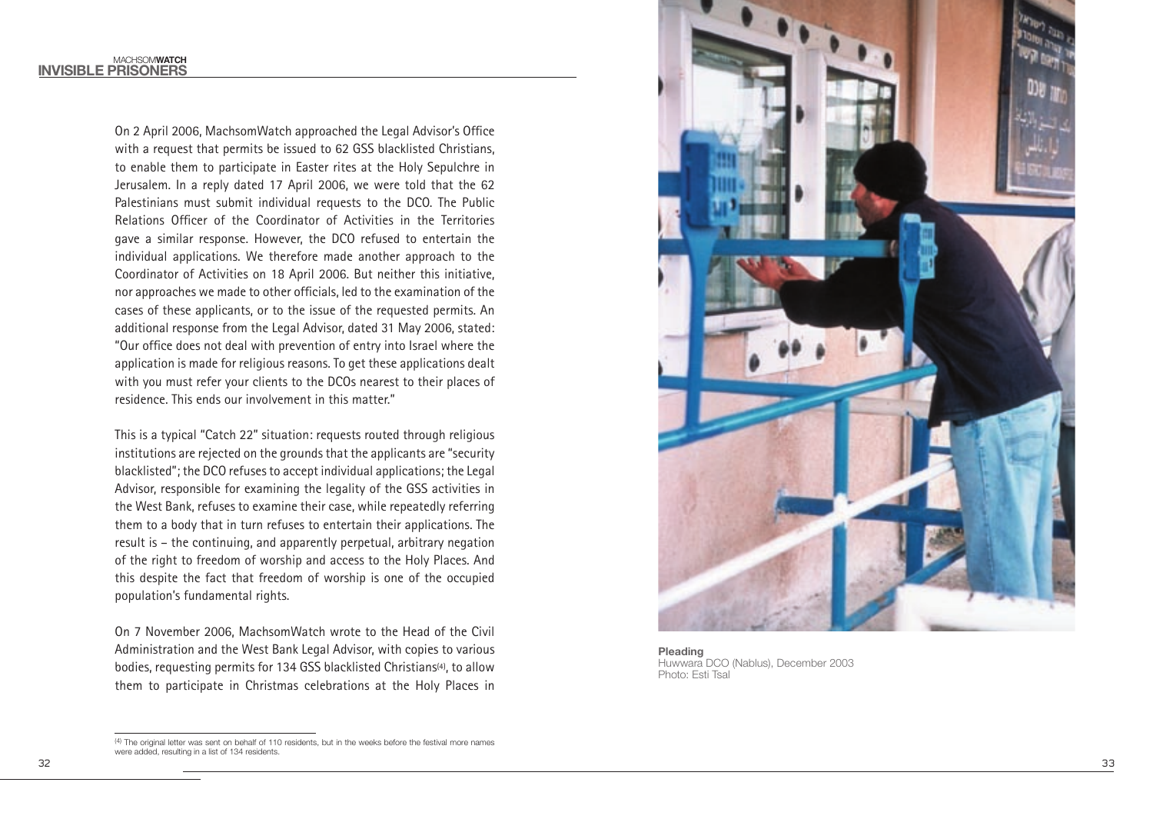On 2 April 2006, MachsomWatch approached the Legal Advisor's Office with a request that permits be issued to 62 GSS blacklisted Christians, to enable them to participate in Easter rites at the Holy Sepulchre in Jerusalem. In a reply dated 17 April 2006, we were told that the 62 Palestinians must submit individual requests to the DCO. The Public Relations Officer of the Coordinator of Activities in the Territories gave a similar response. However, the DCO refused to entertain the individual applications. We therefore made another approach to the Coordinator of Activities on 18 April 2006. But neither this initiative, nor approaches we made to other officials, led to the examination of the cases of these applicants, or to the issue of the requested permits. An additional response from the Legal Advisor, dated 31 May 2006, stated: "Our office does not deal with prevention of entry into Israel where the application is made for religious reasons. To get these applications dealt with you must refer your clients to the DCOs nearest to their places of residence. This ends our involvement in this matter."

This is a typical "Catch 22" situation: requests routed through religious institutions are rejected on the grounds that the applicants are "security blacklisted"; the DCO refuses to accept individual applications; the Legal Advisor, responsible for examining the legality of the GSS activities in the West Bank, refuses to examine their case, while repeatedly referring them to a body that in turn refuses to entertain their applications. The result is – the continuing, and apparently perpetual, arbitrary negation of the right to freedom of worship and access to the Holy Places. And this despite the fact that freedom of worship is one of the occupied population's fundamental rights.

On 7 November 2006, MachsomWatch wrote to the Head of the Civil Administration and the West Bank Legal Advisor, with copies to various bodies, requesting permits for 134 GSS blacklisted Christians<sup>(4)</sup>, to allow them to participate in Christmas celebrations at the Holy Places in



**Pleading** Huwwara DCO (Nablus), December 2003 Photo: Esti Tsal

<sup>(4)</sup> The original letter was sent on behalf of 110 residents, but in the weeks before the festival more names were added, resulting in a list of 134 residents.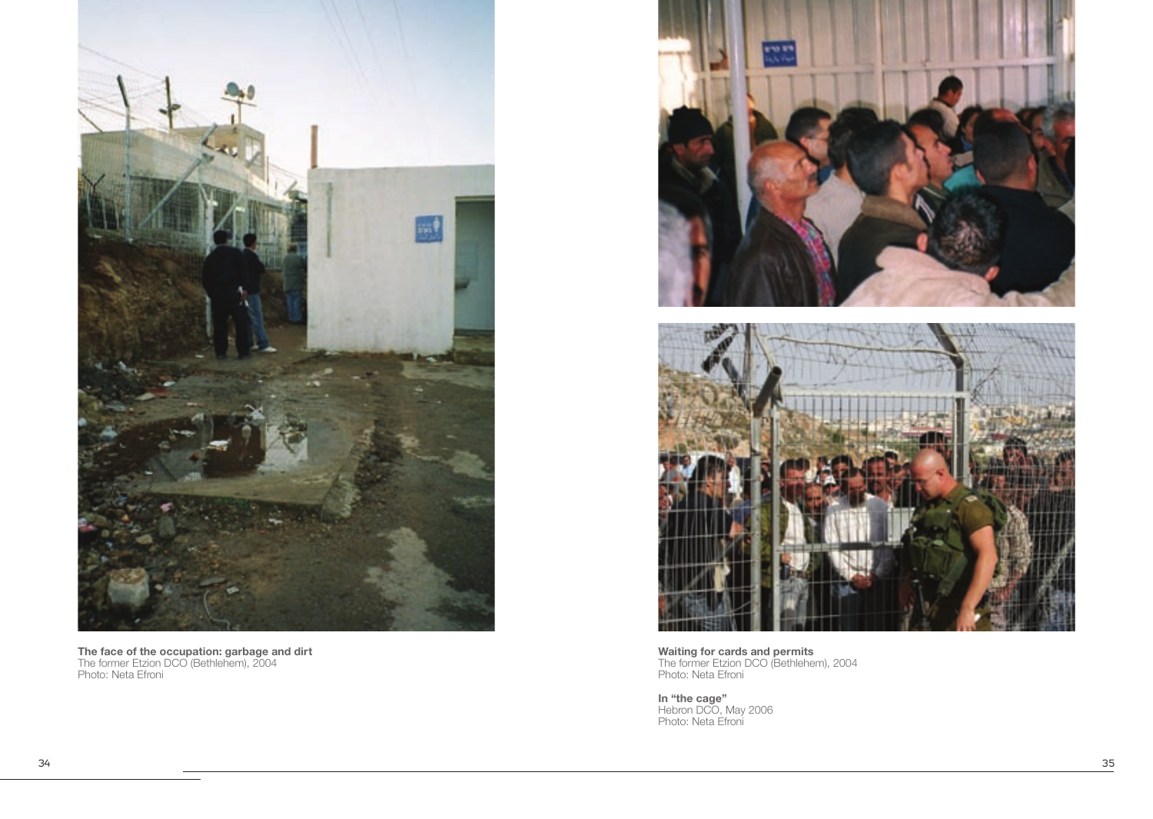

**The face of the occupation: garbage and dirt** The former Etzion DCO (Bethlehem), 2004 Photo: Neta Efroni





**Waiting for cards and permits** The former Etzion DCO (Bethlehem), 2004 Photo: Neta Efroni

**In "the cage"** Hebron DCO, May 2006 Photo: Neta Efroni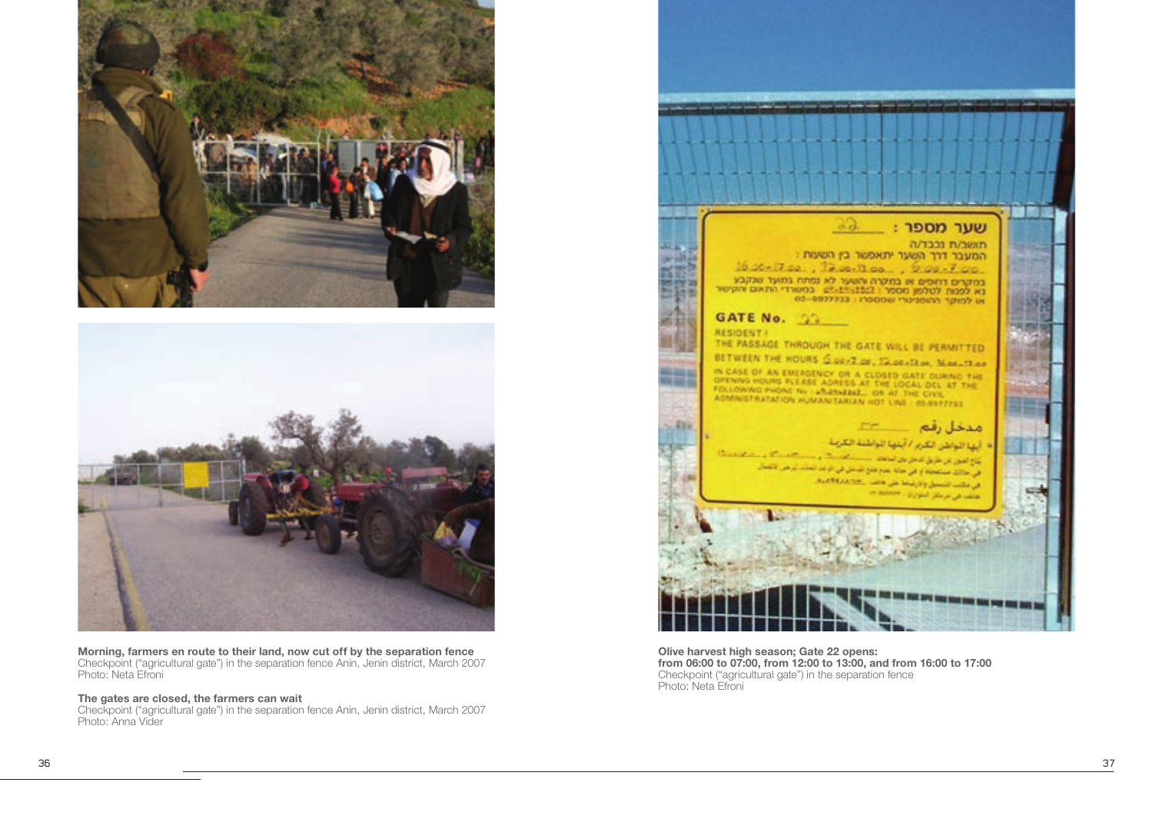



**Morning, farmers en route to their land, now cut off by the separation fence** Checkpoint ("agricultural gate") in the separation fence Anin, Jenin district, March 2007 Photo: Neta Efroni

#### **The gates are closed, the farmers can wait**

Checkpoint ("agricultural gate") in the separation fence Anin, Jenin district, March 2007 Photo: Anna Vider



**Olive harvest high season; Gate 22 opens: from 06:00 to 07:00, from 12:00 to 13:00, and from 16:00 to 17:00** Checkpoint ("agricultural gate") in the separation fence Photo: Neta Efroni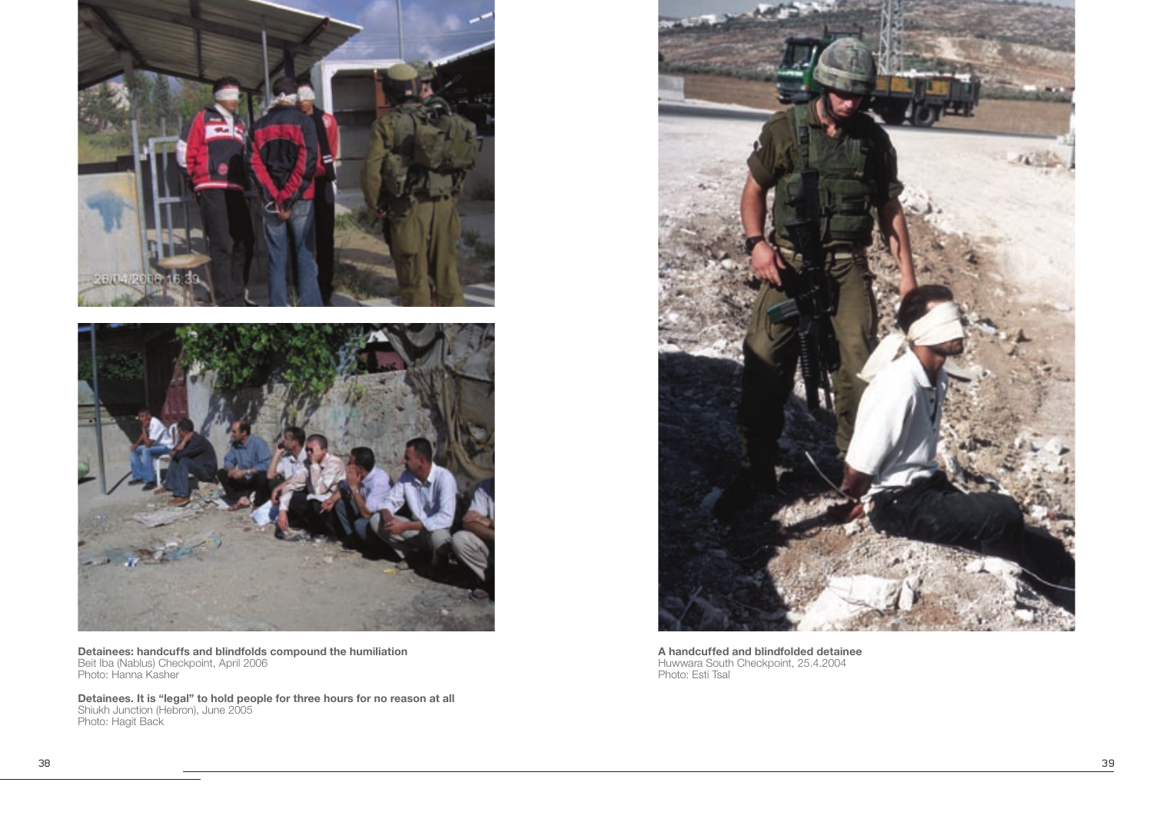



**Detainees: handcuffs and blindfolds compound the humiliation** Beit Iba (Nablus) Checkpoint, April 2006 Photo: Hanna Kasher

**Detainees. It is "legal" to hold people for three hours for no reason at all** Shiukh Junction (Hebron), June 2005 Photo: Hagit Back



**A handcuffed and blindfolded detainee** Huwwara South Checkpoint, 25.4.2004 Photo: Esti Tsal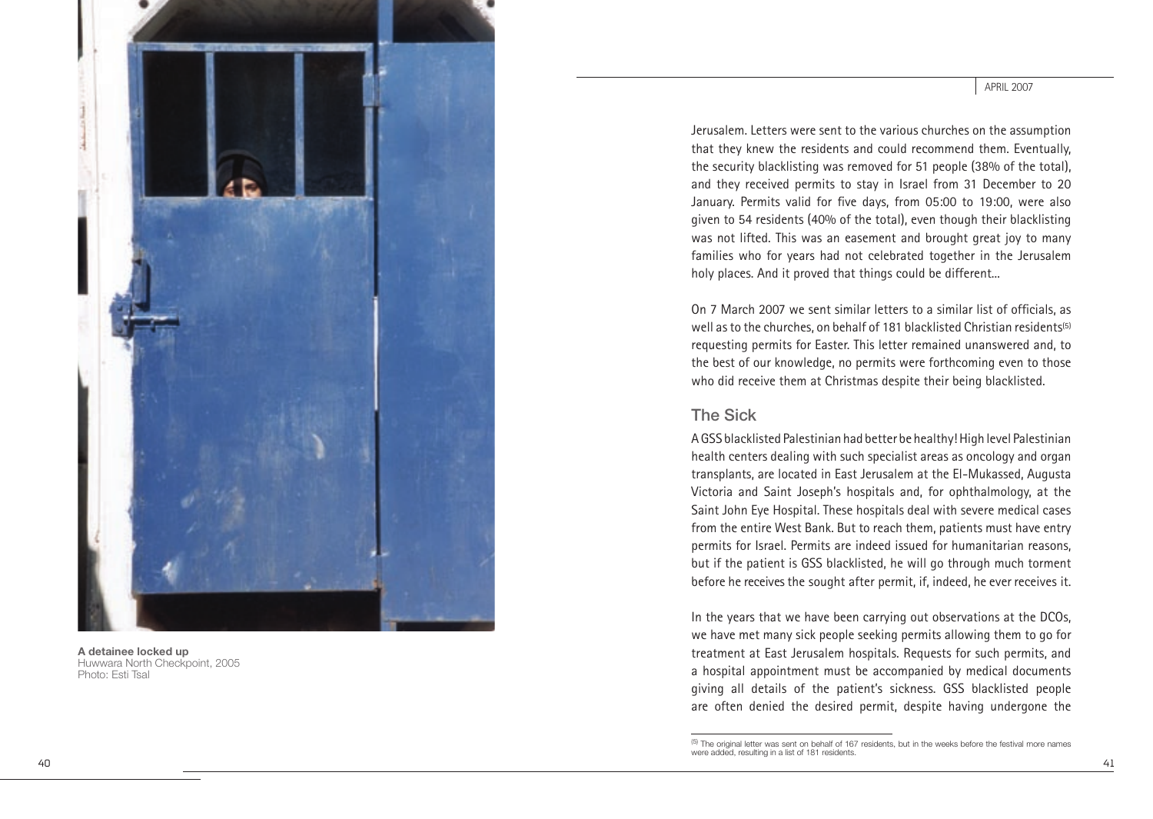

**A detainee locked up** Huwwara North Checkpoint, 2005 Photo: Esti Tsal

#### APRIL 2007

Jerusalem. Letters were sent to the various churches on the assumption that they knew the residents and could recommend them. Eventually, the security blacklisting was removed for 51 people (38% of the total), and they received permits to stay in Israel from 31 December to 20 January. Permits valid for five days, from 05:00 to 19:00, were also given to 54 residents (40% of the total), even though their blacklisting was not lifted. This was an easement and brought great joy to many families who for years had not celebrated together in the Jerusalem holy places. And it proved that things could be different...

On 7 March 2007 we sent similar letters to a similar list of officials, as well as to the churches, on behalf of 181 blacklisted Christian residents<sup>(5)</sup> requesting permits for Easter. This letter remained unanswered and, to the best of our knowledge, no permits were forthcoming even to those who did receive them at Christmas despite their being blacklisted.

### The Sick

A GSS blacklisted Palestinian had better be healthy! High level Palestinian health centers dealing with such specialist areas as oncology and organ transplants, are located in East Jerusalem at the El-Mukassed, Augusta Victoria and Saint Joseph's hospitals and, for ophthalmology, at the Saint John Eye Hospital. These hospitals deal with severe medical cases from the entire West Bank. But to reach them, patients must have entry permits for Israel. Permits are indeed issued for humanitarian reasons, but if the patient is GSS blacklisted, he will go through much torment before he receives the sought after permit, if, indeed, he ever receives it.

In the years that we have been carrying out observations at the DCOs, we have met many sick people seeking permits allowing them to go for treatment at East Jerusalem hospitals. Requests for such permits, and a hospital appointment must be accompanied by medical documents giving all details of the patient's sickness. GSS blacklisted people are often denied the desired permit, despite having undergone the

*<sup>¥∞</sup> ¥±* (5) The original letter was sent on behalf of 167 residents, but in the weeks before the festival more names were added, resulting in a list of 181 residents.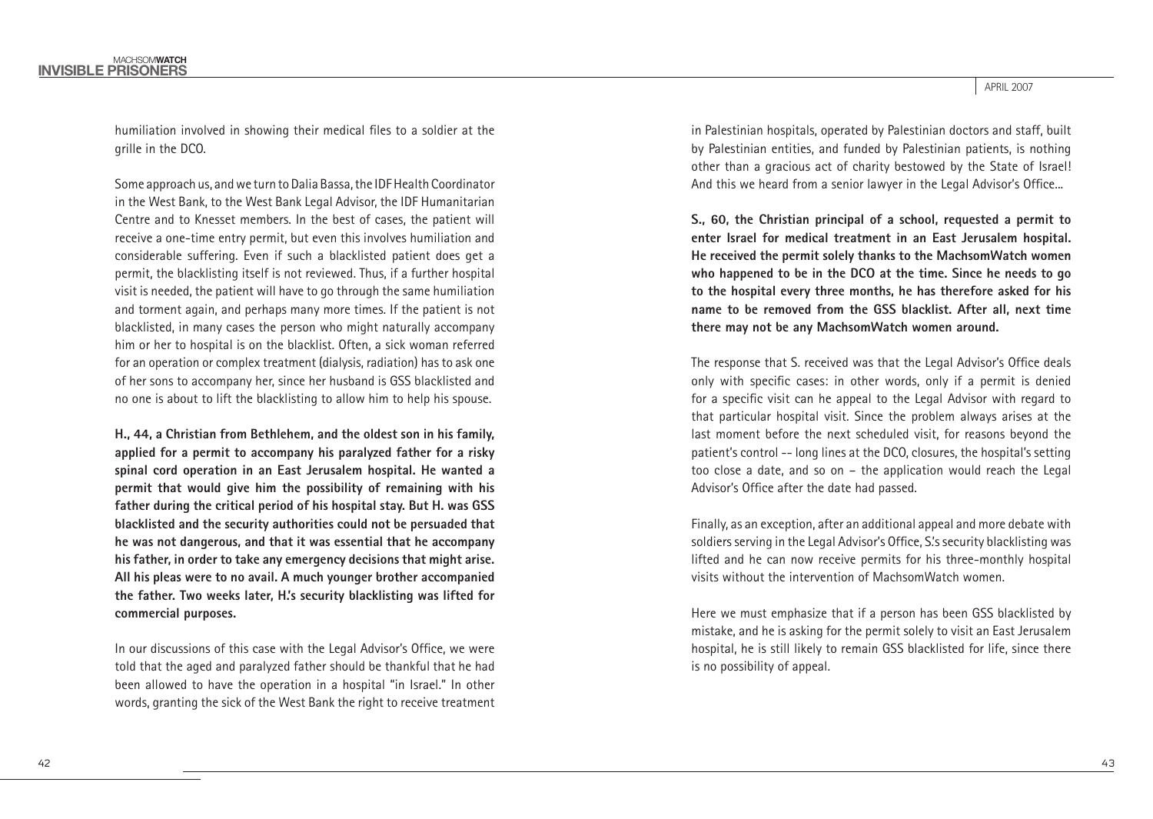#### APRIL 2007

humiliation involved in showing their medical files to a soldier at the grille in the DCO.

Some approach us, and we turn to Dalia Bassa, the IDF Health Coordinator in the West Bank, to the West Bank Legal Advisor, the IDF Humanitarian Centre and to Knesset members. In the best of cases, the patient will receive a one-time entry permit, but even this involves humiliation and considerable suffering. Even if such a blacklisted patient does get a permit, the blacklisting itself is not reviewed. Thus, if a further hospital visit is needed, the patient will have to go through the same humiliation and torment again, and perhaps many more times. If the patient is not blacklisted, in many cases the person who might naturally accompany him or her to hospital is on the blacklist. Often, a sick woman referred for an operation or complex treatment (dialysis, radiation) has to ask one of her sons to accompany her, since her husband is GSS blacklisted and no one is about to lift the blacklisting to allow him to help his spouse.

**H., 44, a Christian from Bethlehem, and the oldest son in his family, applied for a permit to accompany his paralyzed father for a risky spinal cord operation in an East Jerusalem hospital. He wanted a permit that would give him the possibility of remaining with his father during the critical period of his hospital stay. But H. was GSS blacklisted and the security authorities could not be persuaded that he was not dangerous, and that it was essential that he accompany his father, in order to take any emergency decisions that might arise. All his pleas were to no avail. A much younger brother accompanied the father. Two weeks later, H.'s security blacklisting was lifted for commercial purposes.**

In our discussions of this case with the Legal Advisor's Office, we were told that the aged and paralyzed father should be thankful that he had been allowed to have the operation in a hospital "in Israel." In other words, granting the sick of the West Bank the right to receive treatment in Palestinian hospitals, operated by Palestinian doctors and staff, built by Palestinian entities, and funded by Palestinian patients, is nothing other than a gracious act of charity bestowed by the State of Israel! And this we heard from a senior lawyer in the Legal Advisor's Office...

**S., 60, the Christian principal of a school, requested a permit to enter Israel for medical treatment in an East Jerusalem hospital. He received the permit solely thanks to the MachsomWatch women who happened to be in the DCO at the time. Since he needs to go to the hospital every three months, he has therefore asked for his name to be removed from the GSS blacklist. After all, next time there may not be any MachsomWatch women around.**

The response that S. received was that the Legal Advisor's Office deals only with specific cases: in other words, only if a permit is denied for a specific visit can he appeal to the Legal Advisor with regard to that particular hospital visit. Since the problem always arises at the last moment before the next scheduled visit, for reasons beyond the patient's control -- long lines at the DCO, closures, the hospital's setting too close a date, and so on – the application would reach the Legal Advisor's Office after the date had passed.

Finally, as an exception, after an additional appeal and more debate with soldiers serving in the Legal Advisor's Office, S.'s security blacklisting was lifted and he can now receive permits for his three-monthly hospital visits without the intervention of MachsomWatch women.

Here we must emphasize that if a person has been GSS blacklisted by mistake, and he is asking for the permit solely to visit an East Jerusalem hospital, he is still likely to remain GSS blacklisted for life, since there is no possibility of appeal.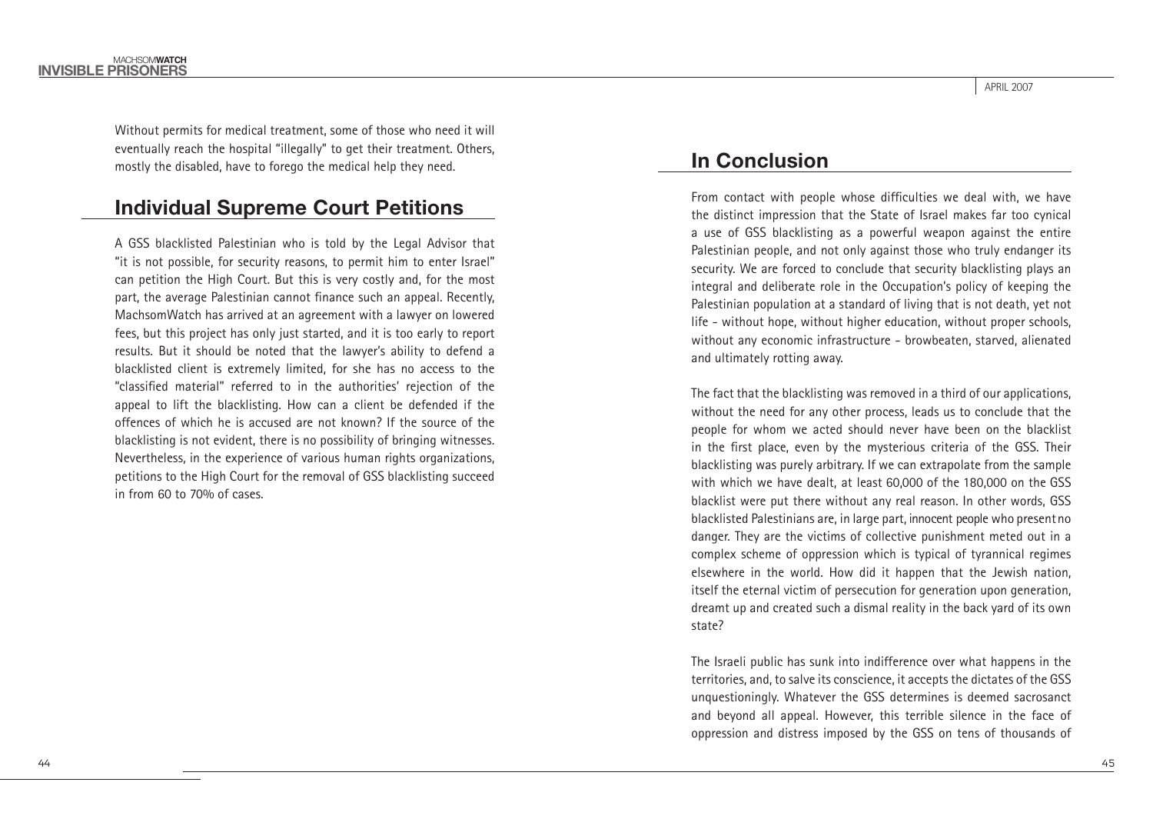Without permits for medical treatment, some of those who need it will eventually reach the hospital "illegally" to get their treatment. Others, mostly the disabled, have to forego the medical help they need.

## **Individual Supreme Court Petitions**

A GSS blacklisted Palestinian who is told by the Legal Advisor that "it is not possible, for security reasons, to permit him to enter Israel" can petition the High Court. But this is very costly and, for the most part, the average Palestinian cannot finance such an appeal. Recently, MachsomWatch has arrived at an agreement with a lawyer on lowered fees, but this project has only just started, and it is too early to report results. But it should be noted that the lawyer's ability to defend a blacklisted client is extremely limited, for she has no access to the "classified material" referred to in the authorities' rejection of the appeal to lift the blacklisting. How can a client be defended if the offences of which he is accused are not known? If the source of the blacklisting is not evident, there is no possibility of bringing witnesses. Nevertheless, in the experience of various human rights organizations, petitions to the High Court for the removal of GSS blacklisting succeed in from 60 to 70% of cases.

## **In Conclusion**

From contact with people whose difficulties we deal with, we have the distinct impression that the State of Israel makes far too cynical a use of GSS blacklisting as a powerful weapon against the entire Palestinian people, and not only against those who truly endanger its security. We are forced to conclude that security blacklisting plays an integral and deliberate role in the Occupation's policy of keeping the Palestinian population at a standard of living that is not death, yet not life - without hope, without higher education, without proper schools, without any economic infrastructure - browbeaten, starved, alienated and ultimately rotting away.

The fact that the blacklisting was removed in a third of our applications, without the need for any other process, leads us to conclude that the people for whom we acted should never have been on the blacklist in the first place, even by the mysterious criteria of the GSS. Their blacklisting was purely arbitrary. If we can extrapolate from the sample with which we have dealt, at least 60,000 of the 180,000 on the GSS blacklist were put there without any real reason. In other words, GSS blacklisted Palestinians are, in large part, innocent people who present no danger. They are the victims of collective punishment meted out in a complex scheme of oppression which is typical of tyrannical regimes elsewhere in the world. How did it happen that the Jewish nation, itself the eternal victim of persecution for generation upon generation, dreamt up and created such a dismal reality in the back yard of its own state?

The Israeli public has sunk into indifference over what happens in the territories, and, to salve its conscience, it accepts the dictates of the GSS unquestioningly. Whatever the GSS determines is deemed sacrosanct and beyond all appeal. However, this terrible silence in the face of oppression and distress imposed by the GSS on tens of thousands of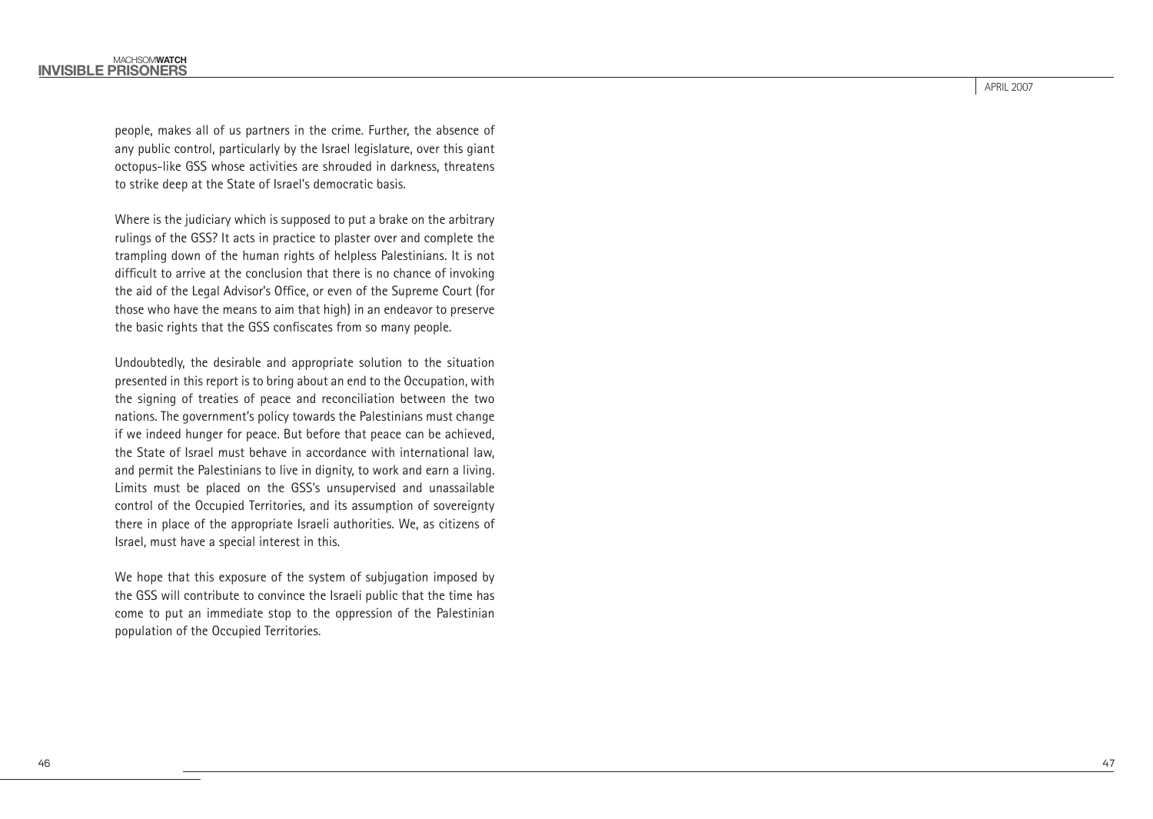APRIL 2007

people, makes all of us partners in the crime. Further, the absence of any public control, particularly by the Israel legislature, over this giant octopus-like GSS whose activities are shrouded in darkness, threatens to strike deep at the State of Israel's democratic basis.

Where is the judiciary which is supposed to put a brake on the arbitrary rulings of the GSS? It acts in practice to plaster over and complete the trampling down of the human rights of helpless Palestinians. It is not difficult to arrive at the conclusion that there is no chance of invoking the aid of the Legal Advisor's Office, or even of the Supreme Court (for those who have the means to aim that high) in an endeavor to preserve the basic rights that the GSS confiscates from so many people.

Undoubtedly, the desirable and appropriate solution to the situation presented in this report is to bring about an end to the Occupation, with the signing of treaties of peace and reconciliation between the two nations. The government's policy towards the Palestinians must change if we indeed hunger for peace. But before that peace can be achieved, the State of Israel must behave in accordance with international law, and permit the Palestinians to live in dignity, to work and earn a living. Limits must be placed on the GSS's unsupervised and unassailable control of the Occupied Territories, and its assumption of sovereignty there in place of the appropriate Israeli authorities. We, as citizens of Israel, must have a special interest in this.

We hope that this exposure of the system of subjugation imposed by the GSS will contribute to convince the Israeli public that the time has come to put an immediate stop to the oppression of the Palestinian population of the Occupied Territories.